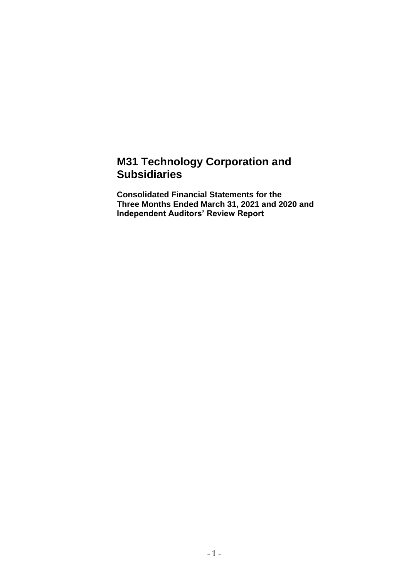# **M31 Technology Corporation and Subsidiaries**

**Consolidated Financial Statements for the Three Months Ended March 31, 2021 and 2020 and Independent Auditors' Review Report**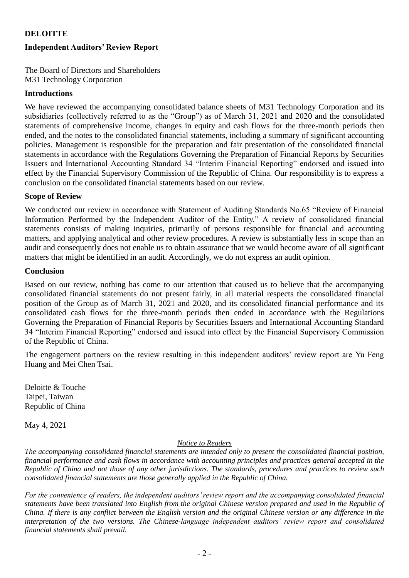# **DELOITTE**

## **Independent Auditors' Review Report**

The Board of Directors and Shareholders M31 Technology Corporation

#### **Introductions**

We have reviewed the accompanying consolidated balance sheets of M31 Technology Corporation and its subsidiaries (collectively referred to as the "Group") as of March 31, 2021 and 2020 and the consolidated statements of comprehensive income, changes in equity and cash flows for the three-month periods then ended, and the notes to the consolidated financial statements, including a summary of significant accounting policies. Management is responsible for the preparation and fair presentation of the consolidated financial statements in accordance with the Regulations Governing the Preparation of Financial Reports by Securities Issuers and International Accounting Standard 34 "Interim Financial Reporting" endorsed and issued into effect by the Financial Supervisory Commission of the Republic of China. Our responsibility is to express a conclusion on the consolidated financial statements based on our review.

#### **Scope of Review**

We conducted our review in accordance with Statement of Auditing Standards No.65 "Review of Financial Information Performed by the Independent Auditor of the Entity." A review of consolidated financial statements consists of making inquiries, primarily of persons responsible for financial and accounting matters, and applying analytical and other review procedures. A review is substantially less in scope than an audit and consequently does not enable us to obtain assurance that we would become aware of all significant matters that might be identified in an audit. Accordingly, we do not express an audit opinion.

#### **Conclusion**

Based on our review, nothing has come to our attention that caused us to believe that the accompanying consolidated financial statements do not present fairly, in all material respects the consolidated financial position of the Group as of March 31, 2021 and 2020, and its consolidated financial performance and its consolidated cash flows for the three-month periods then ended in accordance with the Regulations Governing the Preparation of Financial Reports by Securities Issuers and International Accounting Standard 34 "Interim Financial Reporting" endorsed and issued into effect by the Financial Supervisory Commission of the Republic of China.

The engagement partners on the review resulting in this independent auditors' review report are Yu Feng Huang and Mei Chen Tsai.

Deloitte & Touche Taipei, Taiwan Republic of China

May 4, 2021

#### *Notice to Readers*

*The accompanying consolidated financial statements are intended only to present the consolidated financial position, financial performance and cash flows in accordance with accounting principles and practices general accepted in the Republic of China and not those of any other jurisdictions. The standards, procedures and practices to review such consolidated financial statements are those generally applied in the Republic of China.*

*For the convenience of readers, the independent auditors' review report and the accompanying consolidated financial statements have been translated into English from the original Chinese version prepared and used in the Republic of China. If there is any conflict between the English version and the original Chinese version or any difference in the interpretation of the two versions. The Chinese-language independent auditors' review report and consolidated financial statements shall prevail.*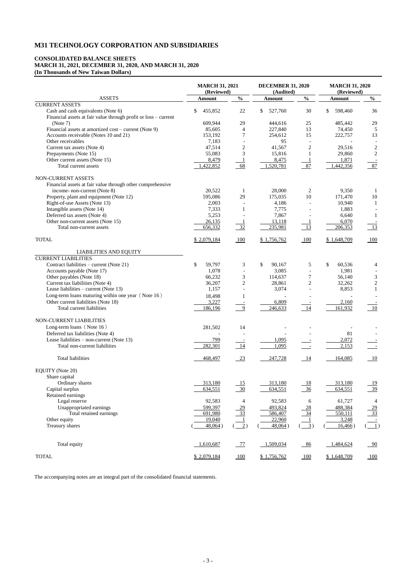# **M31 TECHNOLOGY CORPORATION AND SUBSIDIARIES**

# **CONSOLIDATED BALANCE SHEETS MARCH 31, 2021, DECEMBER 31, 2020, AND MARCH 31, 2020 (In Thousands of New Taiwan Dollars)**

|                                                                 | <b>MARCH 31, 2021</b><br>(Reviewed) |                          | <b>DECEMBER 31, 2020</b><br>(Audited) |                          | <b>MARCH 31, 2020</b><br>(Reviewed) |                 |
|-----------------------------------------------------------------|-------------------------------------|--------------------------|---------------------------------------|--------------------------|-------------------------------------|-----------------|
| <b>ASSETS</b>                                                   | <b>Amount</b>                       | $\frac{0}{0}$            | <b>Amount</b>                         | $\frac{0}{0}$            | <b>Amount</b>                       | $\frac{0}{0}$   |
| <b>CURRENT ASSETS</b>                                           |                                     |                          |                                       |                          |                                     |                 |
| Cash and cash equivalents (Note 6)                              | \$<br>455,852                       | 22                       | 527,760<br>\$                         | 30                       | \$<br>598,460                       | 36              |
| Financial assets at fair value through profit or loss - current |                                     |                          |                                       |                          |                                     |                 |
| (Note 7)                                                        | 609,944                             | 29                       | 444,616                               | 25                       | 485,442                             | 29              |
| Financial assets at amortized cost – current (Note 9)           | 85,605                              | 4                        | 227,840                               | 13                       | 74,450                              | 5               |
| Accounts receivable (Notes 10 and 21)                           | 153,192                             | 7                        | 254,612                               | 15                       | 222,757                             | 13              |
| Other receivables                                               | 7,183                               |                          | 95                                    |                          |                                     |                 |
| Current tax assets (Note 4)                                     | 47,514                              | $\mathbf{2}$             | 41,567                                | $\overline{2}$           | 29,516                              | $\mathbf{2}$    |
| Prepayments (Note 15)                                           | 55,083                              | 3                        | 15,816                                |                          | 29,860                              | $\overline{2}$  |
| Other current assets (Note 15)                                  | 8,479                               |                          | 8,475                                 |                          | 1,871                               |                 |
| Total current assets                                            | 1,422,852                           | 68                       | 1,520,781                             | 87                       | 1,442,356                           | 87              |
| NON-CURRENT ASSETS                                              |                                     |                          |                                       |                          |                                     |                 |
| Financial assets at fair value through other comprehensive      |                                     |                          |                                       |                          |                                     |                 |
| income-non-current (Note 8)                                     | 20,522                              | 1                        | 28,000                                | $\overline{2}$           | 9,350                               | 1               |
| Property, plant and equipment (Note 12)                         | 595,086                             | 29                       | 175,035                               | 10                       | 171,470                             | 10              |
| Right-of-use Assets (Note 13)                                   | 2,003                               |                          | 4,186                                 |                          | 10,940                              | 1               |
| Intangible assets (Note 14)                                     | 7,333                               | 1                        | 7,775                                 |                          | 1,883                               |                 |
| Deferred tax assets (Note 4)                                    | 5,253                               |                          | 7,867                                 |                          | 6,640                               | $\mathbf{1}$    |
| Other non-current assets (Note 15)                              | 26,135                              |                          | 13,118                                |                          | 6,070                               |                 |
| Total non-current assets                                        | 656,332                             | $-32$                    | 235,981                               | 13                       | 206,353                             | 13              |
|                                                                 |                                     |                          |                                       |                          |                                     |                 |
| <b>TOTAL</b>                                                    | \$2,079,184                         | 100                      | \$1,756,762                           | 100                      | \$1,648,709                         | 100             |
| <b>LIABILITIES AND EQUITY</b>                                   |                                     |                          |                                       |                          |                                     |                 |
| <b>CURRENT LIABILITIES</b>                                      |                                     |                          |                                       |                          |                                     |                 |
| Contract liabilities – current (Note 21)                        | \$<br>59,797                        | 3                        | \$<br>90,167                          | 5                        | \$<br>60,536                        | 4               |
| Accounts payable (Note 17)                                      | 1,078                               | $\overline{\phantom{a}}$ | 3,085                                 | $\overline{\phantom{a}}$ | 1,981                               |                 |
| Other payables (Note 18)                                        | 66,232                              | 3                        | 114,637                               | $\boldsymbol{7}$         | 56,140                              | $\mathfrak{Z}$  |
| Current tax liabilities (Note 4)                                | 36,207                              | $\overline{c}$           | 28,861                                | $\sqrt{2}$               | 32,262                              | $\overline{c}$  |
| Lease liabilities – current (Note 13)                           | 1,157                               |                          | 3,074                                 |                          | 8,853                               | $\mathbf{1}$    |
| Long-term loans maturing within one year (Note 16)              | 18,498                              |                          |                                       |                          |                                     |                 |
| Other current liabilities (Note 18)                             | 3,227                               |                          | 6,809                                 |                          | 2,160                               |                 |
| Total current liabilities                                       | 186,196                             | 9                        | 246,633                               | 14                       | 161,932                             | 10              |
|                                                                 |                                     |                          |                                       |                          |                                     |                 |
| NON-CURRENT LIABILITIES                                         |                                     |                          |                                       |                          |                                     |                 |
| Long-term loans (Note 16)                                       | 281,502                             | 14                       |                                       |                          |                                     |                 |
| Deferred tax liabilities (Note 4)                               |                                     |                          |                                       |                          | 81                                  |                 |
| Lease liabilities – non-current (Note 13)                       | 799                                 |                          | 1,095                                 |                          | 2,072                               |                 |
| Total non-current liabilities                                   | 282,301                             | 14                       | 1,095                                 |                          | 2,153                               |                 |
|                                                                 |                                     |                          |                                       |                          |                                     |                 |
| <b>Total liabilities</b>                                        | 468,497                             | $-23$                    | 247,728                               | 14                       | 164,085                             | 10              |
| EQUITY (Note 20)                                                |                                     |                          |                                       |                          |                                     |                 |
| Share capital                                                   |                                     |                          |                                       |                          |                                     |                 |
| Ordinary shares                                                 | 313,180                             | $-15$                    | 313,180                               |                          | 313,180                             | <u>19</u>       |
| Capital surplus                                                 | 634,551                             | $\frac{30}{2}$           | 634,551                               | $\frac{18}{36}$          | 634,551                             | $\frac{39}{2}$  |
| Retained earnings                                               |                                     |                          |                                       |                          |                                     |                 |
| Legal reserve                                                   | 92,583                              | 4                        | 92,583                                | 6                        | 61,727                              | $\overline{4}$  |
| Unappropriated earnings                                         | 599,397                             |                          | 493,824                               |                          | 488,384                             |                 |
| Total retained earnings                                         | 691,980                             | $\frac{29}{33}$          | 586,407                               | $\frac{28}{34}$          | 550,111                             | $\frac{29}{33}$ |
| Other equity                                                    | 19,040                              |                          | 22,960                                |                          | 3,248                               |                 |
| Treasury shares                                                 | 48,064)                             | $\overline{2})$          | 48,064)                               | 3)                       | 16,466)                             | $\frac{1}{2}$   |

| Total equity | .610,687    |            | 1,509,034   | 86         | .484,624    | $-90$ |
|--------------|-------------|------------|-------------|------------|-------------|-------|
| <b>TOTAL</b> | \$2.079.184 | <u>100</u> | \$1,756,762 | <u>100</u> | \$1,648,709 | 100   |

The accompanying notes are an integral part of the consolidated financial statements.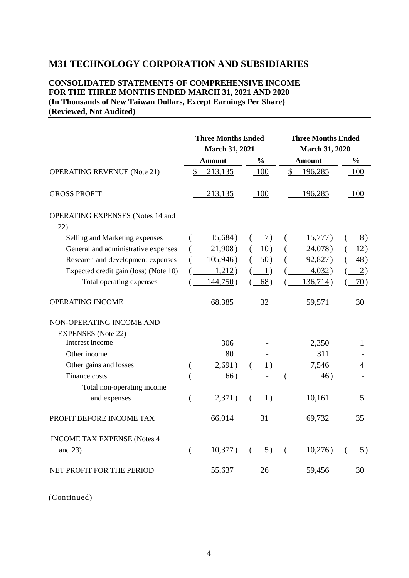# **M31 TECHNOLOGY CORPORATION AND SUBSIDIARIES**

## **CONSOLIDATED STATEMENTS OF COMPREHENSIVE INCOME FOR THE THREE MONTHS ENDED MARCH 31, 2021 AND 2020 (In Thousands of New Taiwan Dollars, Except Earnings Per Share) (Reviewed, Not Audited)**

|                                                | <b>Three Months Ended</b><br><b>March 31, 2021</b> |               | <b>Three Months Ended</b><br><b>March 31, 2020</b> |                 |  |  |
|------------------------------------------------|----------------------------------------------------|---------------|----------------------------------------------------|-----------------|--|--|
|                                                | <b>Amount</b>                                      | $\frac{0}{0}$ | <b>Amount</b>                                      | $\frac{0}{0}$   |  |  |
| <b>OPERATING REVENUE (Note 21)</b>             | $\mathcal{S}$<br>213,135                           | 100           | \$<br>196,285                                      | 100             |  |  |
| <b>GROSS PROFIT</b>                            | 213,135                                            | 100           | 196,285                                            | 100             |  |  |
| <b>OPERATING EXPENSES</b> (Notes 14 and<br>22) |                                                    |               |                                                    |                 |  |  |
| Selling and Marketing expenses                 | 15,684)                                            | 7)<br>(       | 15,777)<br>(                                       | 8)<br>€         |  |  |
| General and administrative expenses            | 21,908)                                            | 10)<br>€      | 24,078)<br>$\left($                                | 12)<br>€        |  |  |
| Research and development expenses              | 105,946)                                           | 50)<br>(      | 92,827)<br>€                                       | 48)<br>(        |  |  |
| Expected credit gain (loss) (Note 10)          | 1,212)                                             | 1)            | 4,032)                                             | $\overline{2})$ |  |  |
| Total operating expenses                       | 144,750)                                           | 68)           | 136,714)                                           | 70)             |  |  |
| <b>OPERATING INCOME</b>                        | 68,385                                             | 32            | 59,571                                             | 30              |  |  |
| NON-OPERATING INCOME AND                       |                                                    |               |                                                    |                 |  |  |
| <b>EXPENSES</b> (Note 22)                      |                                                    |               |                                                    |                 |  |  |
| Interest income                                | 306                                                |               | 2,350                                              | 1               |  |  |
| Other income                                   | 80                                                 |               | 311                                                |                 |  |  |
| Other gains and losses                         | 2,691)                                             | 1)<br>€.      | 7,546                                              | 4               |  |  |
| Finance costs                                  | 66)                                                |               | 46)                                                |                 |  |  |
| Total non-operating income<br>and expenses     | 2,371)                                             | (1)           | 10,161                                             | 5               |  |  |
| PROFIT BEFORE INCOME TAX                       | 66,014                                             | 31            | 69,732                                             | 35              |  |  |
| <b>INCOME TAX EXPENSE (Notes 4</b>             |                                                    |               |                                                    |                 |  |  |
| and 23)                                        | 10,377)                                            | 5)            | 10,276)                                            | 5)              |  |  |
| <b>NET PROFIT FOR THE PERIOD</b>               | 55,637                                             | 26            | 59,456                                             | 30              |  |  |

(Continued)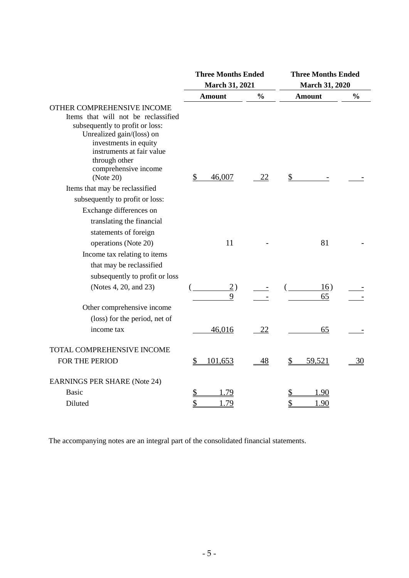|                                                                                                                                                                                                                                               | <b>Three Months Ended</b> |               | <b>Three Months Ended</b> |               |  |  |
|-----------------------------------------------------------------------------------------------------------------------------------------------------------------------------------------------------------------------------------------------|---------------------------|---------------|---------------------------|---------------|--|--|
|                                                                                                                                                                                                                                               | <b>March 31, 2021</b>     |               | <b>March 31, 2020</b>     |               |  |  |
|                                                                                                                                                                                                                                               | <b>Amount</b>             | $\frac{0}{0}$ | <b>Amount</b>             | $\frac{0}{0}$ |  |  |
| OTHER COMPREHENSIVE INCOME<br>Items that will not be reclassified<br>subsequently to profit or loss:<br>Unrealized gain/(loss) on<br>investments in equity<br>instruments at fair value<br>through other<br>comprehensive income<br>(Note 20) | \$<br>46,007              | 22            | \$                        |               |  |  |
| Items that may be reclassified                                                                                                                                                                                                                |                           |               |                           |               |  |  |
| subsequently to profit or loss:                                                                                                                                                                                                               |                           |               |                           |               |  |  |
| Exchange differences on<br>translating the financial                                                                                                                                                                                          |                           |               |                           |               |  |  |
| statements of foreign                                                                                                                                                                                                                         |                           |               |                           |               |  |  |
| operations (Note 20)                                                                                                                                                                                                                          | 11                        |               | 81                        |               |  |  |
| Income tax relating to items<br>that may be reclassified<br>subsequently to profit or loss                                                                                                                                                    |                           |               |                           |               |  |  |
| (Notes 4, 20, and 23)                                                                                                                                                                                                                         | $\overline{2})$<br>9      |               | 16)<br>65                 |               |  |  |
| Other comprehensive income                                                                                                                                                                                                                    |                           |               |                           |               |  |  |
| (loss) for the period, net of                                                                                                                                                                                                                 |                           |               |                           |               |  |  |
| income tax                                                                                                                                                                                                                                    | 46,016                    | 22            | 65                        |               |  |  |
| TOTAL COMPREHENSIVE INCOME                                                                                                                                                                                                                    |                           |               |                           |               |  |  |
| FOR THE PERIOD                                                                                                                                                                                                                                | 101,653<br>$\frac{1}{2}$  | 48            | $\frac{1}{2}$<br>59,521   | 30            |  |  |
| <b>EARNINGS PER SHARE (Note 24)</b>                                                                                                                                                                                                           |                           |               |                           |               |  |  |
| <b>Basic</b>                                                                                                                                                                                                                                  | \$<br>1.79                |               | $\frac{1}{2}$<br>1.90     |               |  |  |
| Diluted                                                                                                                                                                                                                                       | \$<br>1.79                |               | \$<br>1.90                |               |  |  |

The accompanying notes are an integral part of the consolidated financial statements.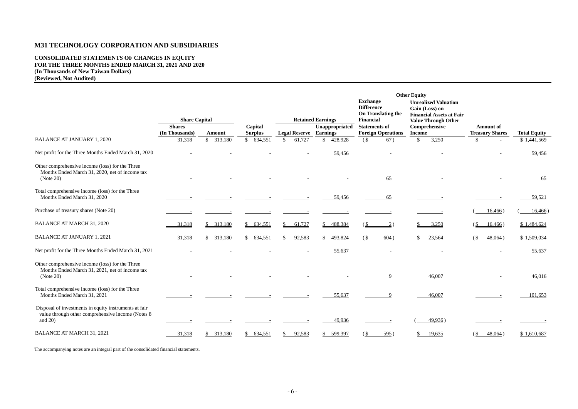# **M31 TECHNOLOGY CORPORATION AND SUBSIDIARIES**

#### **CONSOLIDATED STATEMENTS OF CHANGES IN EQUITY FOR THE THREE MONTHS ENDED MARCH 31, 2021 AND 2020 (In Thousands of New Taiwan Dollars) (Reviewed, Not Audited)**

|                                                                                                                          |                                       |               |                           |                               |                          | <b>Other Equity</b>                                                                   |                                                                                                                |                                            |                     |
|--------------------------------------------------------------------------------------------------------------------------|---------------------------------------|---------------|---------------------------|-------------------------------|--------------------------|---------------------------------------------------------------------------------------|----------------------------------------------------------------------------------------------------------------|--------------------------------------------|---------------------|
|                                                                                                                          | <b>Share Capital</b><br><b>Shares</b> |               |                           |                               | <b>Retained Earnings</b> | <b>Exchange</b><br><b>Difference</b><br><b>On Translating the</b><br><b>Financial</b> | <b>Unrealized Valuation</b><br>Gain (Loss) on<br><b>Financial Assets at Fair</b><br><b>Value Through Other</b> |                                            |                     |
|                                                                                                                          | (In Thousands)                        | <b>Amount</b> | Capital<br><b>Surplus</b> | <b>Legal Reserve Earnings</b> | Unappropriated           | <b>Statements of</b><br><b>Foreign Operations</b>                                     | Comprehensive<br><b>Income</b>                                                                                 | <b>Amount of</b><br><b>Treasury Shares</b> | <b>Total Equity</b> |
| <b>BALANCE AT JANUARY 1, 2020</b>                                                                                        | 31,318                                | \$313,180     | \$634,551                 | 61,727<br>$\mathbb{S}$        | 428,928<br>$\mathbb{S}$  | 67)<br>(                                                                              | 3,250<br>$\mathcal{S}$                                                                                         | $\overline{a}$                             | \$1,441,569         |
| Net profit for the Three Months Ended March 31, 2020                                                                     |                                       |               |                           |                               | 59,456                   |                                                                                       |                                                                                                                |                                            | 59,456              |
| Other comprehensive income (loss) for the Three<br>Months Ended March 31, 2020, net of income tax<br>(Note 20)           |                                       |               |                           |                               |                          | 65                                                                                    |                                                                                                                |                                            | 65                  |
| Total comprehensive income (loss) for the Three                                                                          |                                       |               |                           |                               |                          |                                                                                       |                                                                                                                |                                            |                     |
| Months Ended March 31, 2020                                                                                              |                                       |               |                           |                               | 59,456                   | 65                                                                                    |                                                                                                                |                                            | 59,521              |
| Purchase of treasury shares (Note 20)                                                                                    |                                       |               |                           |                               |                          |                                                                                       |                                                                                                                | 16,466                                     | 16,466              |
| <b>BALANCE AT MARCH 31, 2020</b>                                                                                         | 31,318                                | \$313,180     | \$634,551                 | 61,727<br>\$.                 | \$488,384                | (S)<br>2)                                                                             | 3,250                                                                                                          | 16,466)<br>$$^{\circ}$                     | \$1,484,624         |
| <b>BALANCE AT JANUARY 1, 2021</b>                                                                                        | 31,318                                | \$313,180     | \$634,551                 | 92,583<br>$\mathbb{S}$        | \$493,824                | (<br>604)                                                                             | \$<br>23,564                                                                                                   | 48,064)<br>(S <sub>0</sub> )               | \$1,509,034         |
| Net profit for the Three Months Ended March 31, 2021                                                                     |                                       |               |                           |                               | 55,637                   |                                                                                       |                                                                                                                |                                            | 55,637              |
| Other comprehensive income (loss) for the Three<br>Months Ended March 31, 2021, net of income tax                        |                                       |               |                           |                               |                          |                                                                                       |                                                                                                                |                                            |                     |
| (Note 20)                                                                                                                |                                       |               |                           |                               |                          |                                                                                       | 46,007                                                                                                         |                                            | 46,016              |
| Total comprehensive income (loss) for the Three<br>Months Ended March 31, 2021                                           |                                       |               |                           |                               | 55,637                   |                                                                                       | 46,007                                                                                                         |                                            | 101,653             |
| Disposal of investments in equity instruments at fair<br>value through other comprehensive income (Notes 8<br>and $20$ ) |                                       |               |                           |                               | 49,936                   |                                                                                       | 49,936)                                                                                                        |                                            |                     |
| <b>BALANCE AT MARCH 31, 2021</b>                                                                                         | 31,318                                | \$313,180     | \$634,551                 | 92,583                        | \$599,397                | 595)<br>( <u>\$</u>                                                                   | 19,635                                                                                                         | 48,064)<br>$(S_$                           | \$1,610,687         |

The accompanying notes are an integral part of the consolidated financial statements.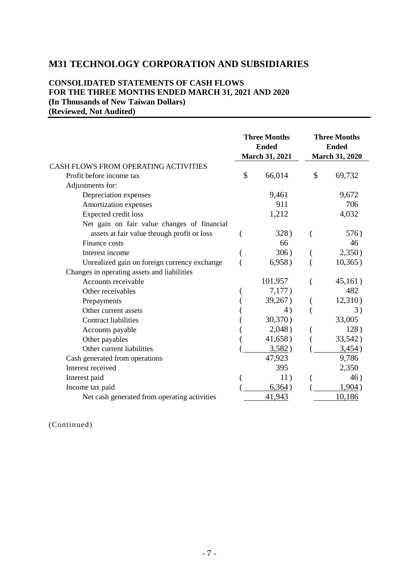# **M31 TECHNOLOGY CORPORATION AND SUBSIDIARIES**

## **CONSOLIDATED STATEMENTS OF CASH FLOWS FOR THE THREE MONTHS ENDED MARCH 31, 2021 AND 2020 (In Thousands of New Taiwan Dollars) (Reviewed, Not Audited)**

|                                              | <b>Three Months</b><br><b>Ended</b><br><b>March 31, 2021</b> |         | <b>Three Months</b><br><b>Ended</b><br><b>March 31, 2020</b> |         |
|----------------------------------------------|--------------------------------------------------------------|---------|--------------------------------------------------------------|---------|
| CASH FLOWS FROM OPERATING ACTIVITIES         |                                                              |         |                                                              |         |
| Profit before income tax                     | \$                                                           | 66,014  | \$                                                           | 69,732  |
| Adjustments for:                             |                                                              |         |                                                              |         |
| Depreciation expenses                        |                                                              | 9,461   |                                                              | 9,672   |
| Amortization expenses                        |                                                              | 911     |                                                              | 706     |
| Expected credit loss                         |                                                              | 1,212   |                                                              | 4,032   |
| Net gain on fair value changes of financial  |                                                              |         |                                                              |         |
| assets at fair value through profit or loss  |                                                              | 328)    |                                                              | 576)    |
| Finance costs                                |                                                              | 66      |                                                              | 46      |
| Interest income                              |                                                              | 306)    |                                                              | 2,350)  |
| Unrealized gain on foreign currency exchange |                                                              | 6,958)  |                                                              | 10,365) |
| Changes in operating assets and liabilities  |                                                              |         |                                                              |         |
| Accounts receivable                          |                                                              | 101,957 |                                                              | 45,161) |
| Other receivables                            |                                                              | 7,177)  |                                                              | 482     |
| Prepayments                                  |                                                              | 39,267) |                                                              | 12,310) |
| Other current assets                         |                                                              | 4)      |                                                              | 3)      |
| <b>Contract liabilities</b>                  |                                                              | 30,370) |                                                              | 33,005  |
| Accounts payable                             |                                                              | 2,048)  |                                                              | 128)    |
| Other payables                               |                                                              | 41,658) |                                                              | 33,542) |
| Other current liabilities                    |                                                              | 3,582)  |                                                              | 3,454)  |
| Cash generated from operations               |                                                              | 47,923  |                                                              | 9,786   |
| Interest received                            |                                                              | 395     |                                                              | 2,350   |
| Interest paid                                |                                                              | 11)     |                                                              | 46)     |
| Income tax paid                              |                                                              | 6,364)  |                                                              | 1,904)  |
| Net cash generated from operating activities |                                                              | 41,943  |                                                              | 10,186  |

(Continued)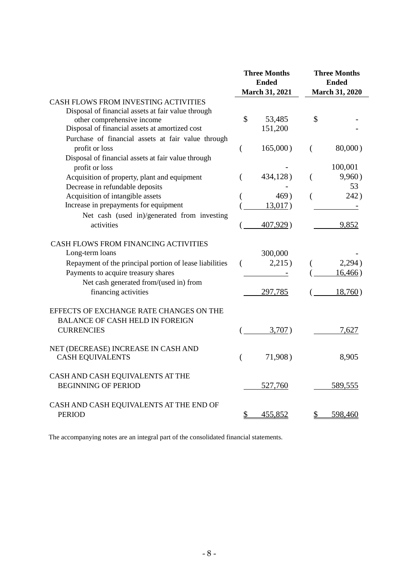|                                                                                                                                                                                                                             | <b>Three Months</b><br><b>Ended</b> |                              | <b>Three Months</b><br><b>Ended</b> |                              |  |
|-----------------------------------------------------------------------------------------------------------------------------------------------------------------------------------------------------------------------------|-------------------------------------|------------------------------|-------------------------------------|------------------------------|--|
|                                                                                                                                                                                                                             |                                     | <b>March 31, 2021</b>        |                                     | <b>March 31, 2020</b>        |  |
| CASH FLOWS FROM INVESTING ACTIVITIES<br>Disposal of financial assets at fair value through<br>other comprehensive income<br>Disposal of financial assets at amortized cost                                                  | \$                                  | 53,485<br>151,200            | \$                                  |                              |  |
| Purchase of financial assets at fair value through<br>profit or loss<br>Disposal of financial assets at fair value through                                                                                                  | (                                   | $165,000$ )                  | $\left($                            | $80,000$ )                   |  |
| profit or loss                                                                                                                                                                                                              |                                     |                              |                                     | 100,001                      |  |
| Acquisition of property, plant and equipment<br>Decrease in refundable deposits                                                                                                                                             |                                     | 434,128)                     | $\left($                            | 9,960)<br>53                 |  |
| Acquisition of intangible assets                                                                                                                                                                                            |                                     | 469)                         | $\overline{(\ }$                    | 242)                         |  |
| Increase in prepayments for equipment<br>Net cash (used in)/generated from investing                                                                                                                                        |                                     | 13,017)                      |                                     |                              |  |
| activities                                                                                                                                                                                                                  |                                     | 407,929)                     |                                     | 9,852                        |  |
| CASH FLOWS FROM FINANCING ACTIVITIES<br>Long-term loans<br>Repayment of the principal portion of lease liabilities<br>Payments to acquire treasury shares<br>Net cash generated from/(used in) from<br>financing activities |                                     | 300,000<br>2,215)<br>297,785 |                                     | 2,294)<br>16,466)<br>18,760) |  |
| EFFECTS OF EXCHANGE RATE CHANGES ON THE<br><b>BALANCE OF CASH HELD IN FOREIGN</b><br><b>CURRENCIES</b>                                                                                                                      |                                     | 3,707)                       |                                     | 7,627                        |  |
| NET (DECREASE) INCREASE IN CASH AND<br><b>CASH EQUIVALENTS</b>                                                                                                                                                              |                                     | 71,908)                      |                                     | 8,905                        |  |
| CASH AND CASH EQUIVALENTS AT THE<br><b>BEGINNING OF PERIOD</b>                                                                                                                                                              |                                     | 527,760                      |                                     | 589,555                      |  |
| CASH AND CASH EQUIVALENTS AT THE END OF<br><b>PERIOD</b>                                                                                                                                                                    | \$                                  | 455,852                      | \$                                  | 598,460                      |  |

The accompanying notes are an integral part of the consolidated financial statements.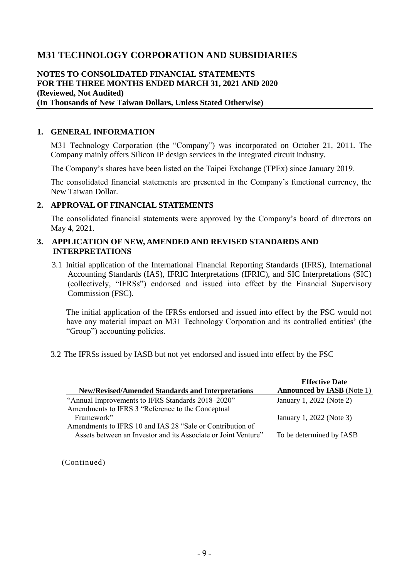# **M31 TECHNOLOGY CORPORATION AND SUBSIDIARIES**

#### **NOTES TO CONSOLIDATED FINANCIAL STATEMENTS FOR THE THREE MONTHS ENDED MARCH 31, 2021 AND 2020 (Reviewed, Not Audited) (In Thousands of New Taiwan Dollars, Unless Stated Otherwise)**

#### **1. GENERAL INFORMATION**

M31 Technology Corporation (the "Company") was incorporated on October 21, 2011. The Company mainly offers Silicon IP design services in the integrated circuit industry.

The Company's shares have been listed on the Taipei Exchange (TPEx) since January 2019.

The consolidated financial statements are presented in the Company's functional currency, the New Taiwan Dollar.

#### **2. APPROVAL OF FINANCIAL STATEMENTS**

The consolidated financial statements were approved by the Company's board of directors on May 4, 2021.

#### **3. APPLICATION OF NEW, AMENDED AND REVISED STANDARDS AND INTERPRETATIONS**

3.1 Initial application of the International Financial Reporting Standards (IFRS), International Accounting Standards (IAS), IFRIC Interpretations (IFRIC), and SIC Interpretations (SIC) (collectively, "IFRSs") endorsed and issued into effect by the Financial Supervisory Commission (FSC).

The initial application of the IFRSs endorsed and issued into effect by the FSC would not have any material impact on M31 Technology Corporation and its controlled entities' (the "Group") accounting policies.

3.2 The IFRSs issued by IASB but not yet endorsed and issued into effect by the FSC

|                                                                | <b>Effective Date</b>             |
|----------------------------------------------------------------|-----------------------------------|
| <b>New/Revised/Amended Standards and Interpretations</b>       | <b>Announced by IASB</b> (Note 1) |
| "Annual Improvements to IFRS Standards 2018-2020"              | January 1, 2022 (Note 2)          |
| Amendments to IFRS 3 "Reference to the Conceptual              |                                   |
| Framework"                                                     | January 1, 2022 (Note 3)          |
| Amendments to IFRS 10 and IAS 28 "Sale or Contribution of      |                                   |
| Assets between an Investor and its Associate or Joint Venture" | To be determined by IASB          |
|                                                                |                                   |

(Continued)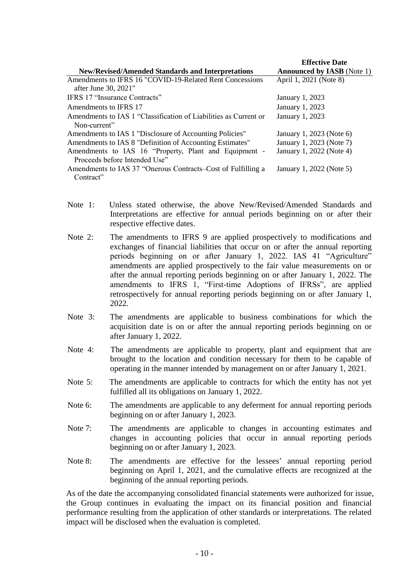| <b>New/Revised/Amended Standards and Interpretations</b>         | <b>Effective Date</b><br><b>Announced by IASB</b> (Note 1) |
|------------------------------------------------------------------|------------------------------------------------------------|
| Amendments to IFRS 16 "COVID-19-Related Rent Concessions         | April 1, 2021 (Note 8)                                     |
| after June 30, 2021"                                             |                                                            |
| IFRS 17 "Insurance Contracts"                                    | January 1, 2023                                            |
| Amendments to IFRS 17                                            | January 1, 2023                                            |
| Amendments to IAS 1 "Classification of Liabilities as Current or | January 1, 2023                                            |
| Non-current"                                                     |                                                            |
| Amendments to IAS 1 "Disclosure of Accounting Policies"          | January 1, 2023 (Note 6)                                   |
| Amendments to IAS 8 "Definition of Accounting Estimates"         | January 1, 2023 (Note 7)                                   |
| Amendments to IAS 16 "Property, Plant and Equipment -            | January 1, 2022 (Note 4)                                   |
| Proceeds before Intended Use"                                    |                                                            |
| Amendments to IAS 37 "Onerous Contracts–Cost of Fulfilling a     | January 1, 2022 (Note 5)                                   |
| Contract"                                                        |                                                            |

- Note 1: Unless stated otherwise, the above New/Revised/Amended Standards and Interpretations are effective for annual periods beginning on or after their respective effective dates.
- Note 2: The amendments to IFRS 9 are applied prospectively to modifications and exchanges of financial liabilities that occur on or after the annual reporting periods beginning on or after January 1, 2022. IAS 41 "Agriculture" amendments are applied prospectively to the fair value measurements on or after the annual reporting periods beginning on or after January 1, 2022. The amendments to IFRS 1, "First-time Adoptions of IFRSs", are applied retrospectively for annual reporting periods beginning on or after January 1, 2022.
- Note 3: The amendments are applicable to business combinations for which the acquisition date is on or after the annual reporting periods beginning on or after January 1, 2022.
- Note 4: The amendments are applicable to property, plant and equipment that are brought to the location and condition necessary for them to be capable of operating in the manner intended by management on or after January 1, 2021.
- Note 5: The amendments are applicable to contracts for which the entity has not yet fulfilled all its obligations on January 1, 2022.
- Note 6: The amendments are applicable to any deferment for annual reporting periods beginning on or after January 1, 2023.
- Note 7: The amendments are applicable to changes in accounting estimates and changes in accounting policies that occur in annual reporting periods beginning on or after January 1, 2023.
- Note 8: The amendments are effective for the lessees' annual reporting period beginning on April 1, 2021, and the cumulative effects are recognized at the beginning of the annual reporting periods.

As of the date the accompanying consolidated financial statements were authorized for issue, the Group continues in evaluating the impact on its financial position and financial performance resulting from the application of other standards or interpretations. The related impact will be disclosed when the evaluation is completed.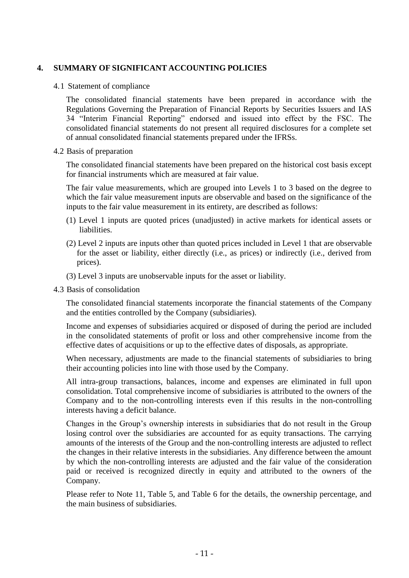# **4. SUMMARY OF SIGNIFICANT ACCOUNTING POLICIES**

#### 4.1 Statement of compliance

The consolidated financial statements have been prepared in accordance with the Regulations Governing the Preparation of Financial Reports by Securities Issuers and IAS 34 "Interim Financial Reporting" endorsed and issued into effect by the FSC. The consolidated financial statements do not present all required disclosures for a complete set of annual consolidated financial statements prepared under the IFRSs.

#### 4.2 Basis of preparation

The consolidated financial statements have been prepared on the historical cost basis except for financial instruments which are measured at fair value.

The fair value measurements, which are grouped into Levels 1 to 3 based on the degree to which the fair value measurement inputs are observable and based on the significance of the inputs to the fair value measurement in its entirety, are described as follows:

- (1) Level 1 inputs are quoted prices (unadjusted) in active markets for identical assets or liabilities.
- (2) Level 2 inputs are inputs other than quoted prices included in Level 1 that are observable for the asset or liability, either directly (i.e., as prices) or indirectly (i.e., derived from prices).
- (3) Level 3 inputs are unobservable inputs for the asset or liability.
- 4.3 Basis of consolidation

The consolidated financial statements incorporate the financial statements of the Company and the entities controlled by the Company (subsidiaries).

Income and expenses of subsidiaries acquired or disposed of during the period are included in the consolidated statements of profit or loss and other comprehensive income from the effective dates of acquisitions or up to the effective dates of disposals, as appropriate.

When necessary, adjustments are made to the financial statements of subsidiaries to bring their accounting policies into line with those used by the Company.

All intra-group transactions, balances, income and expenses are eliminated in full upon consolidation. Total comprehensive income of subsidiaries is attributed to the owners of the Company and to the non-controlling interests even if this results in the non-controlling interests having a deficit balance.

Changes in the Group's ownership interests in subsidiaries that do not result in the Group losing control over the subsidiaries are accounted for as equity transactions. The carrying amounts of the interests of the Group and the non-controlling interests are adjusted to reflect the changes in their relative interests in the subsidiaries. Any difference between the amount by which the non-controlling interests are adjusted and the fair value of the consideration paid or received is recognized directly in equity and attributed to the owners of the Company.

Please refer to Note 11, Table 5, and Table 6 for the details, the ownership percentage, and the main business of subsidiaries.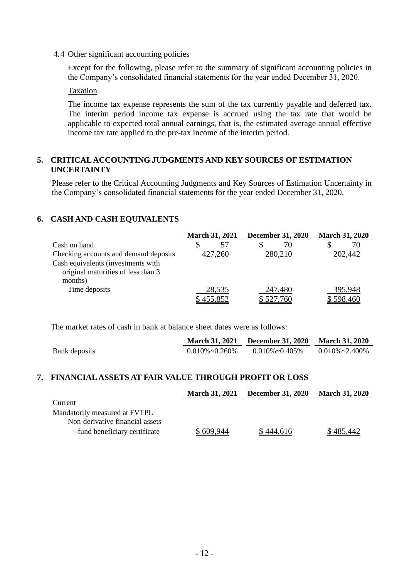4.4 Other significant accounting policies

Except for the following, please refer to the summary of significant accounting policies in the Company's consolidated financial statements for the year ended December 31, 2020.

#### Taxation

The income tax expense represents the sum of the tax currently payable and deferred tax. The interim period income tax expense is accrued using the tax rate that would be applicable to expected total annual earnings, that is, the estimated average annual effective income tax rate applied to the pre-tax income of the interim period.

#### **5. CRITICAL ACCOUNTING JUDGMENTS AND KEY SOURCES OF ESTIMATION UNCERTAINTY**

Please refer to the Critical Accounting Judgments and Key Sources of Estimation Uncertainty in the Company's consolidated financial statements for the year ended December 31, 2020.

#### **6. CASH AND CASH EQUIVALENTS**

|                                       | <b>March 31, 2021</b> |                  | <b>December 31, 2020</b> | <b>March 31, 2020</b> |
|---------------------------------------|-----------------------|------------------|--------------------------|-----------------------|
| Cash on hand                          |                       | 57               | 70                       | 70                    |
| Checking accounts and demand deposits |                       | 427,260          | 280,210                  | 202,442               |
| Cash equivalents (investments with    |                       |                  |                          |                       |
| original maturities of less than 3    |                       |                  |                          |                       |
| months)                               |                       |                  |                          |                       |
| Time deposits                         |                       | 28,535           | 247,480                  | 395,948               |
|                                       |                       | <u>\$455,852</u> | \$527,760                | \$598,460             |

The market rates of cash in bank at balance sheet dates were as follows:

|               |                        | March 31, 2021 December 31, 2020 March 31, 2020 |                           |
|---------------|------------------------|-------------------------------------------------|---------------------------|
| Bank deposits | $0.010\% \sim 0.260\%$ | $0.010\%$ ~ $0.405\%$                           | $0.010\% \approx 2.400\%$ |

#### **7. FINANCIAL ASSETS AT FAIR VALUE THROUGH PROFIT OR LOSS**

|                                 | <b>March 31, 2021</b> | <b>December 31, 2020</b> | <b>March 31, 2020</b> |
|---------------------------------|-----------------------|--------------------------|-----------------------|
| Current                         |                       |                          |                       |
| Mandatorily measured at FVTPL   |                       |                          |                       |
| Non-derivative financial assets |                       |                          |                       |
| -fund beneficiary certificate   | \$609,944             | \$444,616                | <u>\$485,442</u>      |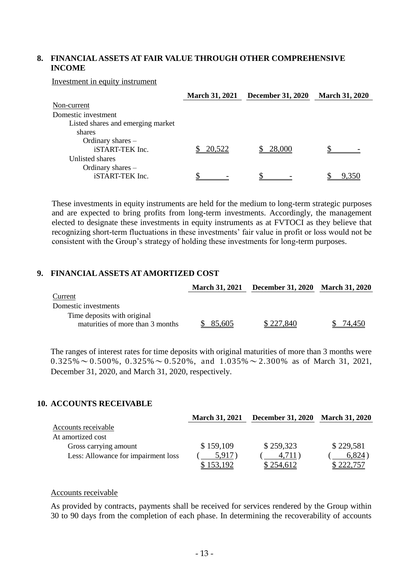#### **8. FINANCIAL ASSETS AT FAIR VALUE THROUGH OTHER COMPREHENSIVE INCOME**

#### Investment in equity instrument

|                                      | <b>March 31, 2021</b> | <b>December 31, 2020</b> | <b>March 31, 2020</b> |
|--------------------------------------|-----------------------|--------------------------|-----------------------|
| Non-current                          |                       |                          |                       |
| Domestic investment                  |                       |                          |                       |
| Listed shares and emerging market    |                       |                          |                       |
| shares                               |                       |                          |                       |
| Ordinary shares -                    |                       |                          |                       |
| iSTART-TEK Inc.                      | 20,522                | 28,000                   |                       |
| Unlisted shares                      |                       |                          |                       |
| Ordinary shares -<br>iSTART-TEK Inc. |                       |                          | 9,350                 |

These investments in equity instruments are held for the medium to long-term strategic purposes and are expected to bring profits from long-term investments. Accordingly, the management elected to designate these investments in equity instruments as at FVTOCI as they believe that recognizing short-term fluctuations in these investments' fair value in profit or loss would not be consistent with the Group's strategy of holding these investments for long-term purposes.

#### **9. FINANCIAL ASSETS AT AMORTIZED COST**

|                                  | <b>March 31, 2021</b> | December 31, 2020 March 31, 2020 |        |
|----------------------------------|-----------------------|----------------------------------|--------|
| Current                          |                       |                                  |        |
| Domestic investments             |                       |                                  |        |
| Time deposits with original      |                       |                                  |        |
| maturities of more than 3 months | \$85,605              | \$227,840                        | 74,450 |

The ranges of interest rates for time deposits with original maturities of more than 3 months were  $0.325\% \sim 0.500\%$ ,  $0.325\% \sim 0.520\%$ , and  $1.035\% \sim 2.300\%$  as of March 31, 2021, December 31, 2020, and March 31, 2020, respectively.

#### **10. ACCOUNTS RECEIVABLE**

|                                     | <b>March 31, 2021</b> | <b>December 31, 2020</b> | <b>March 31, 2020</b> |
|-------------------------------------|-----------------------|--------------------------|-----------------------|
| Accounts receivable                 |                       |                          |                       |
| At amortized cost                   |                       |                          |                       |
| Gross carrying amount               | \$159,109             | \$259,323                | \$229,581             |
| Less: Allowance for impairment loss | 5,917                 | 4.711)                   | 6,824                 |
|                                     |                       | 254,612                  |                       |

#### Accounts receivable

As provided by contracts, payments shall be received for services rendered by the Group within 30 to 90 days from the completion of each phase. In determining the recoverability of accounts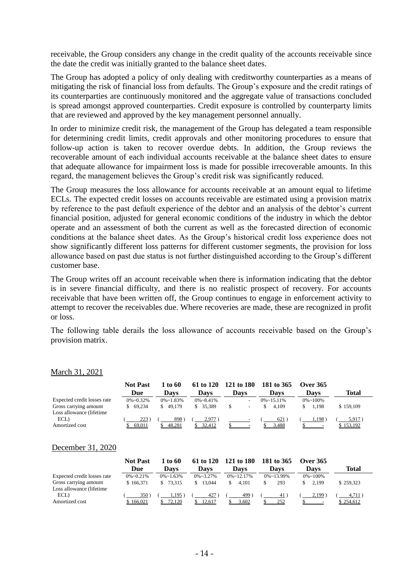receivable, the Group considers any change in the credit quality of the accounts receivable since the date the credit was initially granted to the balance sheet dates.

The Group has adopted a policy of only dealing with creditworthy counterparties as a means of mitigating the risk of financial loss from defaults. The Group's exposure and the credit ratings of its counterparties are continuously monitored and the aggregate value of transactions concluded is spread amongst approved counterparties. Credit exposure is controlled by counterparty limits that are reviewed and approved by the key management personnel annually.

In order to minimize credit risk, the management of the Group has delegated a team responsible for determining credit limits, credit approvals and other monitoring procedures to ensure that follow-up action is taken to recover overdue debts. In addition, the Group reviews the recoverable amount of each individual accounts receivable at the balance sheet dates to ensure that adequate allowance for impairment loss is made for possible irrecoverable amounts. In this regard, the management believes the Group's credit risk was significantly reduced.

The Group measures the loss allowance for accounts receivable at an amount equal to lifetime ECLs. The expected credit losses on accounts receivable are estimated using a provision matrix by reference to the past default experience of the debtor and an analysis of the debtor's current financial position, adjusted for general economic conditions of the industry in which the debtor operate and an assessment of both the current as well as the forecasted direction of economic conditions at the balance sheet dates. As the Group's historical credit loss experience does not show significantly different loss patterns for different customer segments, the provision for loss allowance based on past due status is not further distinguished according to the Group's different customer base.

The Group writes off an account receivable when there is information indicating that the debtor is in severe financial difficulty, and there is no realistic prospect of recovery. For accounts receivable that have been written off, the Group continues to engage in enforcement activity to attempt to recover the receivables due. Where recoveries are made, these are recognized in profit or loss.

The following table derails the loss allowance of accounts receivable based on the Group's provision matrix.

|                             | <b>Not Past</b> | 1 to 60           | 61 to 120         | 121 to 180 | 181 to 365         | <b>Over 365</b>  |           |
|-----------------------------|-----------------|-------------------|-------------------|------------|--------------------|------------------|-----------|
|                             | Due             | Davs              | Davs              | Davs       | Davs               | Davs             | Total     |
| Expected credit losses rate | $0\%$ ~0.32%    | $0\% \sim 1.83\%$ | $0\% \sim 8.41\%$ | -          | $0\% \sim 15.11\%$ | $0\% \sim 100\%$ |           |
| Gross carrying amount       | 69.234          | \$49,179          | 35.389            |            | 4.109              | 1.198            | \$159,109 |
| Loss allowance (lifetime    |                 |                   |                   |            |                    |                  |           |
| ECL)                        | 223             | 898               | 2.977)            |            | 621)               | 1,198            | 5,917)    |
| Amortized cost              | 69,011          | 48.281            | 32.412            |            | 3.488              |                  | 5 153,192 |

#### March 31, 2021

#### December 31, 2020

|                             | <b>Not Past</b>   | 1 to 60           | 61 to 120         | 121 to 180         | 181 to 365         | Over 365         |           |
|-----------------------------|-------------------|-------------------|-------------------|--------------------|--------------------|------------------|-----------|
|                             | Due               | Davs              | Davs              | Davs               | <b>Davs</b>        | Davs             | Total     |
| Expected credit losses rate | $0\% \sim 0.21\%$ | $0\% \sim 1.63\%$ | $0\% \sim 3.27\%$ | $0\% \sim 12.17\%$ | $0\% \sim 13.99\%$ | $0\% \sim 100\%$ |           |
| Gross carrying amount       | \$166,371         | 73.315            | 13.044            | 4.101              | 293                | 2.199            | \$259,323 |
| Loss allowance (lifetime)   |                   |                   |                   |                    |                    |                  |           |
| ECL)                        | $350^{\circ}$     | 1.195 )           | 427)              | 499                | 41                 | 2,199            | 4.711     |
| Amortized cost              | \$166.021         | 72.120            | 12,617            | 3.602              | 252                |                  | \$254.612 |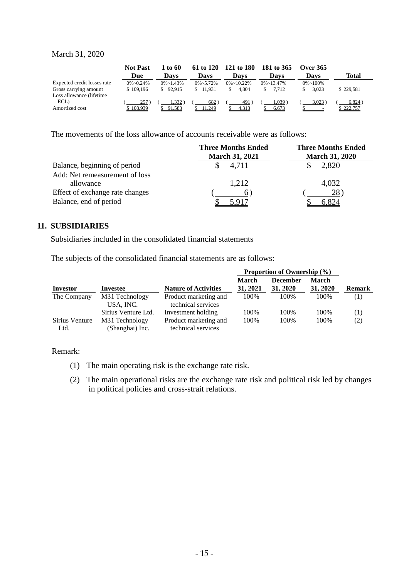#### March 31, 2020

|                                                    | <b>Not Past</b> | 1 to 60           | 61 to 120         | 121 to 180         | 181 to 365         | <b>Over 365</b>  |                  |
|----------------------------------------------------|-----------------|-------------------|-------------------|--------------------|--------------------|------------------|------------------|
|                                                    | Due             | Davs              | Davs              | Davs               | Davs               | Davs             | Total            |
| Expected credit losses rate                        | $0\%$ ~0.24%    | $0\% \sim 1.43\%$ | $0\% \sim 5.72\%$ | $0\% \sim 10.22\%$ | $0\% \sim 13.47\%$ | $0\% \sim 100\%$ |                  |
| Gross carrying amount<br>Loss allowance (lifetime) | \$109.196       | 92.915            | 11.931            | 4.804              | 7.712              | 3.023            | \$229.581        |
| ECL)<br>Amortized cost                             | 257)<br>108.939 | 1.332 )<br>91.583 | 682<br>249        | 491<br>4.313       | 1.039<br>6.673     | 3.023            | 6.824<br>222,757 |

The movements of the loss allowance of accounts receivable were as follows:

|                                 | <b>Three Months Ended</b><br><b>March 31, 2021</b> | <b>Three Months Ended</b><br><b>March 31, 2020</b> |
|---------------------------------|----------------------------------------------------|----------------------------------------------------|
| Balance, beginning of period    | 4.711                                              | 2,820                                              |
| Add: Net remeasurement of loss  |                                                    |                                                    |
| allowance                       | 1,212                                              | 4,032                                              |
| Effect of exchange rate changes |                                                    | $28^{\circ}$                                       |
| Balance, end of period          |                                                    | 6.824                                              |

#### **11. SUBSIDIARIES**

Subsidiaries included in the consolidated financial statements

The subjects of the consolidated financial statements are as follows:

|                        |                                   |                                             | Proportion of Ownership $(\% )$ |                             |                          |               |
|------------------------|-----------------------------------|---------------------------------------------|---------------------------------|-----------------------------|--------------------------|---------------|
| Investor               | <b>Investee</b>                   | <b>Nature of Activities</b>                 | March<br>31, 2021               | <b>December</b><br>31, 2020 | <b>March</b><br>31, 2020 | <b>Remark</b> |
| The Company            | M31 Technology<br>USA, INC.       | Product marketing and<br>technical services | 100%                            | 100%                        | 100%                     | (1)           |
|                        | Sirius Venture Ltd.               | Investment holding                          | 100%                            | 100%                        | 100\%                    | (1)           |
| Sirius Venture<br>Ltd. | M31 Technology<br>(Shanghai) Inc. | Product marketing and<br>technical services | 100\%                           | 100\%                       | 100\%                    | (2)           |

#### Remark:

- (1) The main operating risk is the exchange rate risk.
- (2) The main operational risks are the exchange rate risk and political risk led by changes in political policies and cross-strait relations.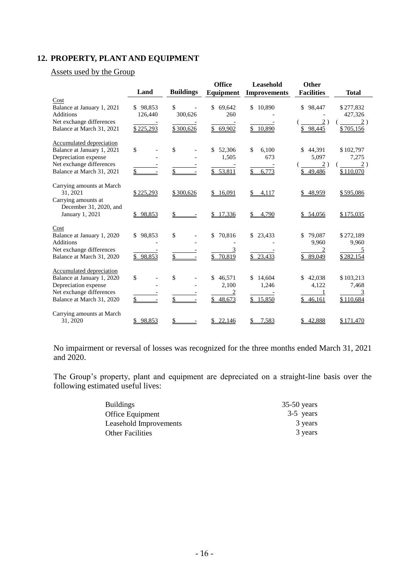# **12. PROPERTY, PLANT AND EQUIPMENT**

# Assets used by the Group

|                                                                                                                                                                      | Land                                            | <b>Buildings</b> | <b>Office</b><br>Equipment           | Leasehold<br><b>Improvements</b>            | Other<br><b>Facilities</b>                       | <b>Total</b>                                                 |
|----------------------------------------------------------------------------------------------------------------------------------------------------------------------|-------------------------------------------------|------------------|--------------------------------------|---------------------------------------------|--------------------------------------------------|--------------------------------------------------------------|
| Cost<br>Balance at January 1, 2021<br><b>Additions</b><br>Net exchange differences                                                                                   | \$98,853<br>126,440<br>$\overline{\phantom{a}}$ | \$<br>300,626    | 69,642<br>\$<br>260                  | 10,890<br>\$<br>\$                          | 98,447<br>\$<br>$\overline{2}$ )                 | \$277,832<br>427,326<br>2)                                   |
| Balance at March 31, 2021<br>Accumulated depreciation<br>Balance at January 1, 2021<br>Depreciation expense<br>Net exchange differences<br>Balance at March 31, 2021 | \$225,293<br>$\mathbb{S}$<br>\$                 | \$300,626<br>\$  | 69,902<br>52,306<br>1,505<br>53.811  | 10,890<br>\$<br>6,100<br>673<br>6,773<br>\$ | \$98,445<br>44,391<br>5,097<br>2)<br>49,486<br>S | \$705,156<br>\$102,797<br>7,275<br>$\sqrt{2}$ )<br>\$110,070 |
| Carrying amounts at March<br>31, 2021<br>Carrying amounts at<br>December 31, 2020, and                                                                               | \$225,293                                       | \$300,626        | 16,091                               | 4,117<br>S                                  | 48,959                                           | \$595,086                                                    |
| January 1, 2021<br>Cost<br>Balance at January 1, 2020                                                                                                                | 98,853<br>S<br>98,853<br>\$                     | \$<br>\$         | 17,336<br>70,816<br>\$               | 4,790<br>\$23,433                           | \$54,056<br>79,087<br>\$                         | \$175,035<br>\$272,189                                       |
| <b>Additions</b><br>Net exchange differences<br>Balance at March 31, 2020                                                                                            | \$98,853                                        | \$               | 3<br>70.819                          | \$23,433                                    | 9,960<br>89,049<br>\$                            | 9,960<br>5<br>\$282,154                                      |
| <b>Accumulated depreciation</b><br>Balance at January 1, 2020<br>Depreciation expense<br>Net exchange differences<br>Balance at March 31, 2020                       | \$<br>\$                                        | \$<br>\$         | 46,571<br>\$<br>2,100<br>2<br>48,673 | 14,604<br>\$.<br>1,246<br>\$<br>15,850      | 42,038<br>\$<br>4,122                            | \$103,213<br>7,468<br>3                                      |
| Carrying amounts at March<br>31, 2020                                                                                                                                | 98,853<br>\$                                    |                  | 22,146                               | 7,583                                       | 46,161<br>\$<br>42,888                           | \$110,684<br>\$171,470                                       |

No impairment or reversal of losses was recognized for the three months ended March 31, 2021 and 2020.

The Group's property, plant and equipment are depreciated on a straight-line basis over the following estimated useful lives:

| <b>Buildings</b>        | $35-50$ years |
|-------------------------|---------------|
| Office Equipment        | 3-5 years     |
| Leasehold Improvements  | 3 years       |
| <b>Other Facilities</b> | 3 years       |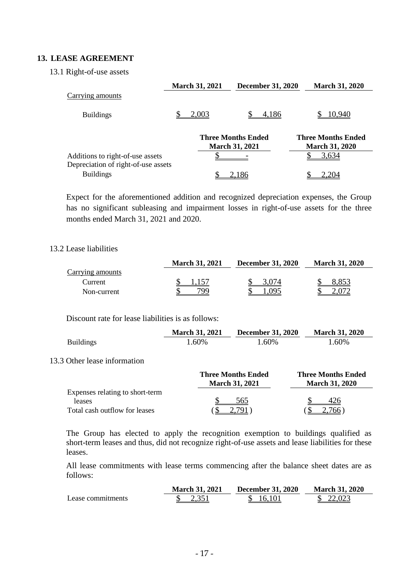#### **13. LEASE AGREEMENT**

13.1 Right-of-use assets

|                                                                         | <b>March 31, 2021</b> | <b>December 31, 2020</b>                           | <b>March 31, 2020</b>                       |
|-------------------------------------------------------------------------|-----------------------|----------------------------------------------------|---------------------------------------------|
| Carrying amounts                                                        |                       |                                                    |                                             |
| <b>Buildings</b>                                                        | 2,003                 | 4,186                                              | 10,940                                      |
|                                                                         |                       | <b>Three Months Ended</b><br><b>March 31, 2021</b> | Three Months Ended<br><b>March 31, 2020</b> |
| Additions to right-of-use assets<br>Depreciation of right-of-use assets |                       |                                                    | 3,634                                       |
| <b>Buildings</b>                                                        |                       |                                                    |                                             |

Expect for the aforementioned addition and recognized depreciation expenses, the Group has no significant subleasing and impairment losses in right-of-use assets for the three months ended March 31, 2021 and 2020.

#### 13.2 Lease liabilities

|                  | <b>March 31, 2021</b> | <b>December 31, 2020</b> | <b>March 31, 2020</b> |
|------------------|-----------------------|--------------------------|-----------------------|
| Carrying amounts |                       |                          |                       |
| Current          |                       |                          |                       |
| Non-current      | 700                   |                          |                       |

Discount rate for lease liabilities is as follows:

|                  | <b>March 31, 2021</b> | <b>December 31, 2020</b> | <b>March 31, 2020</b> |
|------------------|-----------------------|--------------------------|-----------------------|
| <b>Buildings</b> | .60%                  | 1.60%                    | 1.60%                 |

#### 13.3 Other lease information

|                                         | <b>Three Months Ended</b><br><b>March 31, 2021</b> | <b>Three Months Ended</b><br><b>March 31, 2020</b> |  |
|-----------------------------------------|----------------------------------------------------|----------------------------------------------------|--|
| Expenses relating to short-term         | 565                                                | 426                                                |  |
| leases<br>Total cash outflow for leases |                                                    | 766)                                               |  |

The Group has elected to apply the recognition exemption to buildings qualified as short-term leases and thus, did not recognize right-of-use assets and lease liabilities for these leases.

All lease commitments with lease terms commencing after the balance sheet dates are as follows:

|                   | <b>March 31, 2021</b> | <b>December 31, 2020</b> | <b>March 31, 2020</b> |
|-------------------|-----------------------|--------------------------|-----------------------|
| Lease commitments |                       | 16.                      | 22.023                |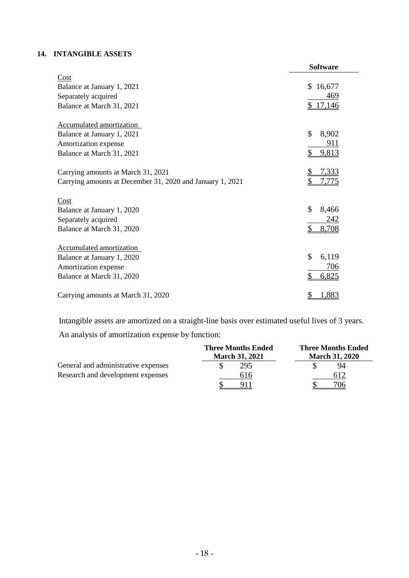### **14. INTANGIBLE ASSETS**

|                                                           | <b>Software</b> |
|-----------------------------------------------------------|-----------------|
| Cost                                                      |                 |
| Balance at January 1, 2021                                | 16,677<br>\$    |
| Separately acquired                                       | 469             |
| Balance at March 31, 2021                                 | \$17,146        |
| Accumulated amortization                                  |                 |
| Balance at January 1, 2021                                | \$<br>8,902     |
| Amortization expense                                      | 911             |
| Balance at March 31, 2021                                 | \$<br>9,813     |
| Carrying amounts at March 31, 2021                        | 7,333           |
| Carrying amounts at December 31, 2020 and January 1, 2021 |                 |
| Cost                                                      |                 |
| Balance at January 1, 2020                                | \$<br>8,466     |
| Separately acquired                                       | 242             |
| Balance at March 31, 2020                                 | 8,708           |
| Accumulated amortization                                  |                 |
| Balance at January 1, 2020                                | \$<br>6,119     |
| Amortization expense                                      | 706             |
| Balance at March 31, 2020                                 | \$<br>6,825     |
| Carrying amounts at March 31, 2020                        | 1,883<br>\$     |

Intangible assets are amortized on a straight-line basis over estimated useful lives of 3 years. An analysis of amortization expense by function:

|                                     | <b>Three Months Ended</b><br><b>March 31, 2021</b> | <b>Three Months Ended</b><br><b>March 31, 2020</b> |
|-------------------------------------|----------------------------------------------------|----------------------------------------------------|
| General and administrative expenses | 295                                                | 94                                                 |
| Research and development expenses   | 616                                                | 612                                                |
|                                     |                                                    | 706 F                                              |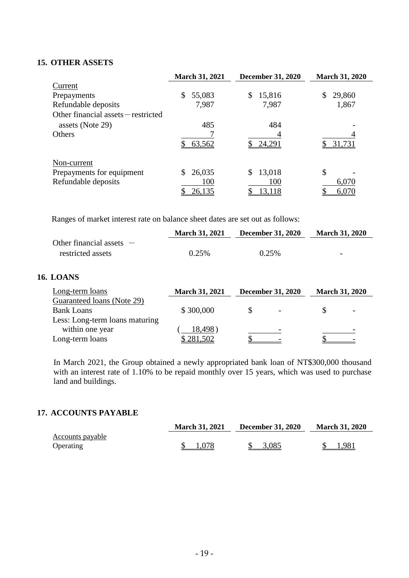#### **15. OTHER ASSETS**

|                                     | <b>March 31, 2021</b> | <b>December 31, 2020</b> | <b>March 31, 2020</b> |
|-------------------------------------|-----------------------|--------------------------|-----------------------|
| Current                             |                       |                          |                       |
| Prepayments                         | 55,083<br>S.          | \$<br>15,816             | 29,860<br>\$          |
| Refundable deposits                 | 7,987                 | 7,987                    | 1,867                 |
| Other financial assets – restricted |                       |                          |                       |
| assets (Note 29)                    | 485                   | 484                      |                       |
| Others                              |                       |                          |                       |
|                                     | 63,562                | 24,291                   | 31,731                |
| Non-current                         |                       |                          |                       |
| Prepayments for equipment           | 26,035                | 13,018<br>\$             | \$                    |
| Refundable deposits                 | 100                   | 100                      | 6,070                 |
|                                     | 26,135                | <u>13,118</u>            | 6,070                 |

Ranges of market interest rate on balance sheet dates are set out as follows:

|                            | <b>March 31, 2021</b> | <b>December 31, 2020</b> | <b>March 31, 2020</b>    |
|----------------------------|-----------------------|--------------------------|--------------------------|
| Other financial assets $-$ |                       |                          |                          |
| restricted assets          | 0.25%                 | 0.25%                    | $\overline{\phantom{0}}$ |

# **16. LOANS**

| Long-term loans                | <b>March 31, 2021</b> | <b>December 31, 2020</b> | <b>March 31, 2020</b> |  |
|--------------------------------|-----------------------|--------------------------|-----------------------|--|
| Guaranteed loans (Note 29)     |                       |                          |                       |  |
| <b>Bank Loans</b>              | \$300,000             | $\overline{\phantom{a}}$ |                       |  |
| Less: Long-term loans maturing |                       |                          |                       |  |
| within one year                | 18,498)               | $\overline{\phantom{a}}$ |                       |  |
| Long-term loans                | \$281,502             |                          |                       |  |

In March 2021, the Group obtained a newly appropriated bank loan of NT\$300,000 thousand with an interest rate of 1.10% to be repaid monthly over 15 years, which was used to purchase land and buildings.

#### **17. ACCOUNTS PAYABLE**

|                  | <b>March 31, 2021</b> | <b>December 31, 2020</b> | <b>March 31, 2020</b> |
|------------------|-----------------------|--------------------------|-----------------------|
| Accounts payable |                       |                          |                       |
| Operating        | \$1,078               | \$3,085                  | 1,981                 |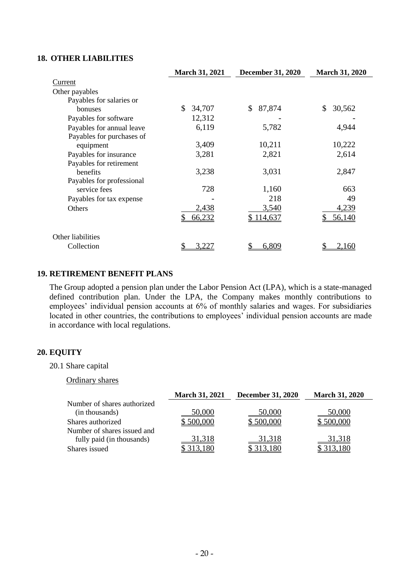#### **18. OTHER LIABILITIES**

|                           | <b>March 31, 2021</b> | <b>December 31, 2020</b> | <b>March 31, 2020</b> |
|---------------------------|-----------------------|--------------------------|-----------------------|
| Current                   |                       |                          |                       |
| Other payables            |                       |                          |                       |
| Payables for salaries or  |                       |                          |                       |
| bonuses                   | \$<br>34,707          | 87,874<br>\$             | \$<br>30,562          |
| Payables for software     | 12,312                |                          |                       |
| Payables for annual leave | 6,119                 | 5,782                    | 4,944                 |
| Payables for purchases of |                       |                          |                       |
| equipment                 | 3,409                 | 10,211                   | 10,222                |
| Payables for insurance    | 3,281                 | 2,821                    | 2,614                 |
| Payables for retirement   |                       |                          |                       |
| benefits                  | 3,238                 | 3,031                    | 2,847                 |
| Payables for professional |                       |                          |                       |
| service fees              | 728                   | 1,160                    | 663                   |
| Payables for tax expense  |                       | 218                      | 49                    |
| Others                    | 2,438                 | 3,540                    | 4,239                 |
|                           | 66,232                | \$114,637                | 56,140                |
| Other liabilities         |                       |                          |                       |
| Collection                | 3,227                 | \$<br>6,809              | 2,160                 |

#### **19. RETIREMENT BENEFIT PLANS**

The Group adopted a pension plan under the Labor Pension Act (LPA), which is a state-managed defined contribution plan. Under the LPA, the Company makes monthly contributions to employees' individual pension accounts at 6% of monthly salaries and wages. For subsidiaries located in other countries, the contributions to employees' individual pension accounts are made in accordance with local regulations.

#### **20. EQUITY**

#### 20.1 Share capital

#### Ordinary shares

|                             | <b>March 31, 2021</b> | <b>December 31, 2020</b> | <b>March 31, 2020</b> |
|-----------------------------|-----------------------|--------------------------|-----------------------|
| Number of shares authorized |                       |                          |                       |
| (in thousands)              | 50,000                | 50,000                   | 50,000                |
| Shares authorized           | 500,000               | \$500,000                |                       |
| Number of shares issued and |                       |                          |                       |
| fully paid (in thousands)   | <u>31,318</u>         | 31,318                   | 31,318                |
| Shares issued               |                       |                          |                       |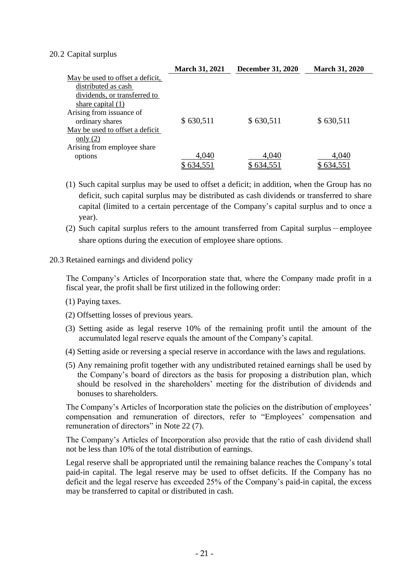#### 20.2 Capital surplus

|                                  | <b>March 31, 2021</b> | <b>December 31, 2020</b> | <b>March 31, 2020</b> |
|----------------------------------|-----------------------|--------------------------|-----------------------|
| May be used to offset a deficit, |                       |                          |                       |
| distributed as cash              |                       |                          |                       |
| dividends, or transferred to     |                       |                          |                       |
| share capital $(1)$              |                       |                          |                       |
| Arising from issuance of         |                       |                          |                       |
| ordinary shares                  | \$630,511             | \$630,511                | \$630,511             |
| May be used to offset a deficit  |                       |                          |                       |
| only $(2)$                       |                       |                          |                       |
| Arising from employee share      |                       |                          |                       |
| options                          | 4,040                 | 4,040                    | 4,040                 |
|                                  | 634,551               | 634,551                  | 634,551               |

- (1) Such capital surplus may be used to offset a deficit; in addition, when the Group has no deficit, such capital surplus may be distributed as cash dividends or transferred to share capital (limited to a certain percentage of the Company's capital surplus and to once a year).
- (2) Such capital surplus refers to the amount transferred from Capital surplus-employee share options during the execution of employee share options.

#### 20.3 Retained earnings and dividend policy

The Company's Articles of Incorporation state that, where the Company made profit in a fiscal year, the profit shall be first utilized in the following order:

- (1) Paying taxes.
- (2) Offsetting losses of previous years.
- (3) Setting aside as legal reserve 10% of the remaining profit until the amount of the accumulated legal reserve equals the amount of the Company's capital.
- (4) Setting aside or reversing a special reserve in accordance with the laws and regulations.
- (5) Any remaining profit together with any undistributed retained earnings shall be used by the Company's board of directors as the basis for proposing a distribution plan, which should be resolved in the shareholders' meeting for the distribution of dividends and bonuses to shareholders.

The Company's Articles of Incorporation state the policies on the distribution of employees' compensation and remuneration of directors, refer to "Employees' compensation and remuneration of directors" in Note 22 (7).

The Company's Articles of Incorporation also provide that the ratio of cash dividend shall not be less than 10% of the total distribution of earnings.

Legal reserve shall be appropriated until the remaining balance reaches the Company's total paid-in capital. The legal reserve may be used to offset deficits. If the Company has no deficit and the legal reserve has exceeded 25% of the Company's paid-in capital, the excess may be transferred to capital or distributed in cash.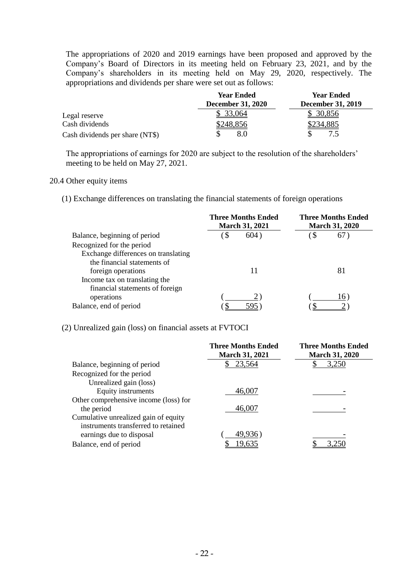The appropriations of 2020 and 2019 earnings have been proposed and approved by the Company's Board of Directors in its meeting held on February 23, 2021, and by the Company's shareholders in its meeting held on May 29, 2020, respectively. The appropriations and dividends per share were set out as follows:

|                                 | <b>Year Ended</b>        | <b>Year Ended</b>        |
|---------------------------------|--------------------------|--------------------------|
|                                 | <b>December 31, 2020</b> | <b>December 31, 2019</b> |
| Legal reserve                   | \$ 33,064                | \$ 30,856                |
| Cash dividends                  | \$248,856                | \$234,885                |
| Cash dividends per share (NT\$) |                          |                          |

The appropriations of earnings for 2020 are subject to the resolution of the shareholders' meeting to be held on May 27, 2021.

### 20.4 Other equity items

(1) Exchange differences on translating the financial statements of foreign operations

|                                     |     | Three Months Ended<br><b>March 31, 2021</b> |     | <b>Three Months Ended</b><br><b>March 31, 2020</b> |
|-------------------------------------|-----|---------------------------------------------|-----|----------------------------------------------------|
| Balance, beginning of period        | `\$ | 604)                                        | `\$ | 07                                                 |
| Recognized for the period           |     |                                             |     |                                                    |
| Exchange differences on translating |     |                                             |     |                                                    |
| the financial statements of         |     |                                             |     |                                                    |
| foreign operations                  |     |                                             |     | 81                                                 |
| Income tax on translating the       |     |                                             |     |                                                    |
| financial statements of foreign     |     |                                             |     |                                                    |
| operations                          |     |                                             |     | 16)                                                |
| Balance, end of period              |     |                                             |     |                                                    |

(2) Unrealized gain (loss) on financial assets at FVTOCI

|                                       | <b>Three Months Ended</b><br><b>March 31, 2021</b> | <b>Three Months Ended</b><br><b>March 31, 2020</b> |
|---------------------------------------|----------------------------------------------------|----------------------------------------------------|
| Balance, beginning of period          | 23,564                                             | 3,250                                              |
| Recognized for the period             |                                                    |                                                    |
| Unrealized gain (loss)                |                                                    |                                                    |
| Equity instruments                    | 46,007                                             |                                                    |
| Other comprehensive income (loss) for |                                                    |                                                    |
| the period                            | 46,007                                             |                                                    |
| Cumulative unrealized gain of equity  |                                                    |                                                    |
| instruments transferred to retained   |                                                    |                                                    |
| earnings due to disposal              | 49,936                                             |                                                    |
| Balance, end of period                | 19,635                                             |                                                    |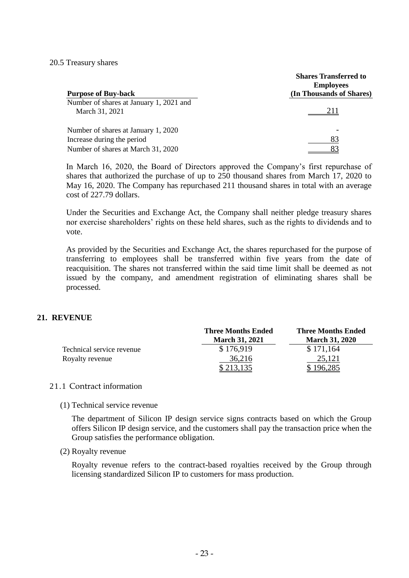#### 20.5 Treasury shares

| <b>Purpose of Buy-back</b>                                                                              | <b>Shares Transferred to</b><br><b>Employees</b><br>(In Thousands of Shares) |
|---------------------------------------------------------------------------------------------------------|------------------------------------------------------------------------------|
| Number of shares at January 1, 2021 and<br>March 31, 2021                                               | 211                                                                          |
| Number of shares at January 1, 2020<br>Increase during the period<br>Number of shares at March 31, 2020 | 83                                                                           |

In March 16, 2020, the Board of Directors approved the Company's first repurchase of shares that authorized the purchase of up to 250 thousand shares from March 17, 2020 to May 16, 2020. The Company has repurchased 211 thousand shares in total with an average cost of 227.79 dollars.

Under the Securities and Exchange Act, the Company shall neither pledge treasury shares nor exercise shareholders' rights on these held shares, such as the rights to dividends and to vote.

As provided by the Securities and Exchange Act, the shares repurchased for the purpose of transferring to employees shall be transferred within five years from the date of reacquisition. The shares not transferred within the said time limit shall be deemed as not issued by the company, and amendment registration of eliminating shares shall be processed.

#### **21. REVENUE**

|                           | <b>Three Months Ended</b> | <b>Three Months Ended</b> |
|---------------------------|---------------------------|---------------------------|
|                           | <b>March 31, 2021</b>     | <b>March 31, 2020</b>     |
| Technical service revenue | \$176,919                 | \$171,164                 |
| Royalty revenue           | 36,216                    | 25,121                    |
|                           |                           | 196,285                   |

#### 21.1 Contract information

(1) Technical service revenue

The department of Silicon IP design service signs contracts based on which the Group offers Silicon IP design service, and the customers shall pay the transaction price when the Group satisfies the performance obligation.

#### (2) Royalty revenue

Royalty revenue refers to the contract-based royalties received by the Group through licensing standardized Silicon IP to customers for mass production.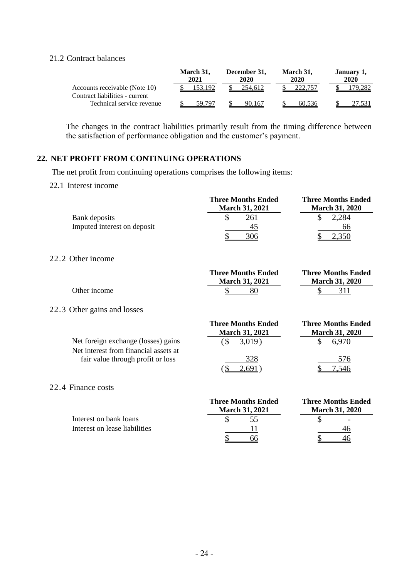# 21.2 Contract balances

|                                                                 | March 31.<br>2021 | December 31.<br>2020 | March 31.<br>2020 | January 1,<br>2020 |
|-----------------------------------------------------------------|-------------------|----------------------|-------------------|--------------------|
| Accounts receivable (Note 10)<br>Contract liabilities - current | 153.192           | 254.612              |                   | 79.282             |
| Technical service revenue                                       | 59.797            | 90.167               | 60.536            |                    |

The changes in the contract liabilities primarily result from the timing difference between the satisfaction of performance obligation and the customer's payment.

#### **22. NET PROFIT FROM CONTINUING OPERATIONS**

The net profit from continuing operations comprises the following items:

### 22.1 Interest income

|                             | <b>Three Months Ended</b><br><b>March 31, 2021</b> | <b>Three Months Ended</b><br><b>March 31, 2020</b> |
|-----------------------------|----------------------------------------------------|----------------------------------------------------|
| Bank deposits               | 261                                                | 2,284                                              |
| Imputed interest on deposit |                                                    | 66                                                 |
|                             |                                                    |                                                    |

#### 22.2 Other income

|              | <b>Three Months Ended</b> | <b>Three Months Ended</b> |
|--------------|---------------------------|---------------------------|
|              | <b>March 31, 2021</b>     | <b>March 31, 2020</b>     |
| Other income |                           |                           |

#### 22.3 Other gains and losses

|                                                                              | <b>Three Months Ended</b><br><b>March 31, 2021</b> | <b>Three Months Ended</b><br><b>March 31, 2020</b> |
|------------------------------------------------------------------------------|----------------------------------------------------|----------------------------------------------------|
| Net foreign exchange (losses) gains<br>Net interest from financial assets at | 3,019)                                             | 6.970                                              |
| fair value through profit or loss                                            | 328                                                | 576                                                |
|                                                                              | .69                                                |                                                    |

#### 22.4 Finance costs

|                               | <b>Three Months Ended</b><br><b>March 31, 2021</b> | <b>Three Months Ended</b><br><b>March 31, 2020</b> |
|-------------------------------|----------------------------------------------------|----------------------------------------------------|
| Interest on bank loans        | 55.                                                | $\overline{\phantom{a}}$                           |
| Interest on lease liabilities |                                                    |                                                    |
|                               |                                                    |                                                    |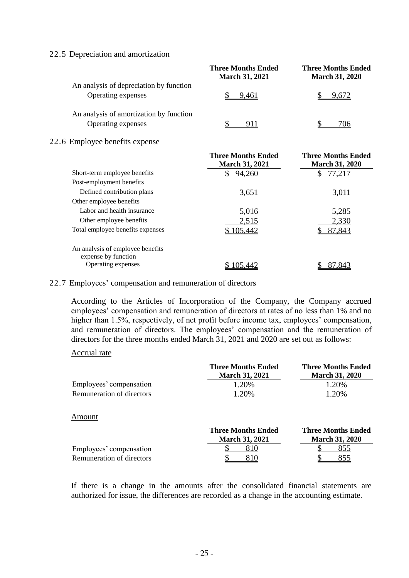#### 22.5 Depreciation and amortization

|                                                               | <b>Three Months Ended</b><br><b>March 31, 2021</b> | <b>Three Months Ended</b><br><b>March 31, 2020</b> |
|---------------------------------------------------------------|----------------------------------------------------|----------------------------------------------------|
| An analysis of depreciation by function<br>Operating expenses | 9,461                                              | 9.672                                              |
| An analysis of amortization by function<br>Operating expenses |                                                    | 706                                                |

#### 22.6 Employee benefits expense

|                                                         | <b>Three Months Ended</b><br><b>March 31, 2021</b> | <b>Three Months Ended</b><br><b>March 31, 2020</b> |
|---------------------------------------------------------|----------------------------------------------------|----------------------------------------------------|
| Short-term employee benefits                            | 94,260<br>\$                                       | 77,217<br>\$                                       |
| Post-employment benefits                                |                                                    |                                                    |
| Defined contribution plans                              | 3,651                                              | 3,011                                              |
| Other employee benefits                                 |                                                    |                                                    |
| Labor and health insurance                              | 5,016                                              | 5,285                                              |
| Other employee benefits                                 | 2,515                                              | 2,330                                              |
| Total employee benefits expenses                        | 105,442                                            | 87,843                                             |
| An analysis of employee benefits<br>expense by function |                                                    |                                                    |
| Operating expenses                                      |                                                    |                                                    |

#### 22.7 Employees' compensation and remuneration of directors

According to the Articles of Incorporation of the Company, the Company accrued employees' compensation and remuneration of directors at rates of no less than 1% and no higher than 1.5%, respectively, of net profit before income tax, employees' compensation, and remuneration of directors. The employees' compensation and the remuneration of directors for the three months ended March 31, 2021 and 2020 are set out as follows:

#### Accrual rate

|                           | <b>Three Months Ended</b><br><b>March 31, 2021</b> | <b>Three Months Ended</b><br><b>March 31, 2020</b> |
|---------------------------|----------------------------------------------------|----------------------------------------------------|
| Employees' compensation   | 1.20%                                              | 1.20%                                              |
| Remuneration of directors | 1.20%                                              | 1.20%                                              |
| Amount                    |                                                    |                                                    |
|                           | <b>Three Months Ended</b>                          | <b>Three Months Ended</b>                          |
|                           | <b>March 31, 2021</b>                              | <b>March 31, 2020</b>                              |
| Employees' compensation   | 810                                                | 855                                                |
| Remuneration of directors | 810                                                | 855                                                |

If there is a change in the amounts after the consolidated financial statements are authorized for issue, the differences are recorded as a change in the accounting estimate.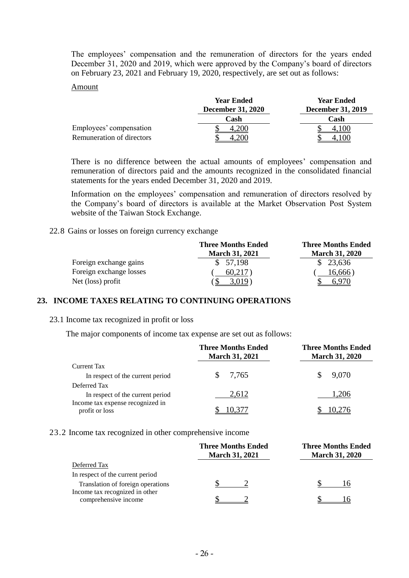The employees' compensation and the remuneration of directors for the years ended December 31, 2020 and 2019, which were approved by the Company's board of directors on February 23, 2021 and February 19, 2020, respectively, are set out as follows:

#### Amount

|                           | <b>Year Ended</b><br><b>December 31, 2020</b> | <b>Year Ended</b><br><b>December 31, 2019</b> |
|---------------------------|-----------------------------------------------|-----------------------------------------------|
|                           | Cash                                          | Cash                                          |
| Employees' compensation   | '()()                                         |                                               |
| Remuneration of directors |                                               |                                               |

There is no difference between the actual amounts of employees' compensation and remuneration of directors paid and the amounts recognized in the consolidated financial statements for the years ended December 31, 2020 and 2019.

Information on the employees' compensation and remuneration of directors resolved by the Company's board of directors is available at the Market Observation Post System website of the Taiwan Stock Exchange.

#### 22.8 Gains or losses on foreign currency exchange

|                         | <b>Three Months Ended</b><br><b>March 31, 2021</b> | <b>Three Months Ended</b><br><b>March 31, 2020</b> |
|-------------------------|----------------------------------------------------|----------------------------------------------------|
| Foreign exchange gains  | \$57,198                                           | \$23,636                                           |
| Foreign exchange losses | 60,217                                             | 16,666)                                            |
| Net (loss) profit       |                                                    |                                                    |

#### **23. INCOME TAXES RELATING TO CONTINUING OPERATIONS**

#### 23.1 Income tax recognized in profit or loss

The major components of income tax expense are set out as follows:

|                                                    | <b>Three Months Ended</b><br><b>March 31, 2021</b> | <b>Three Months Ended</b><br><b>March 31, 2020</b> |  |
|----------------------------------------------------|----------------------------------------------------|----------------------------------------------------|--|
| Current Tax<br>In respect of the current period    | 7,765<br>S.                                        | 9,070                                              |  |
| Deferred Tax<br>In respect of the current period   | 2.612                                              | 1.206                                              |  |
| Income tax expense recognized in<br>profit or loss |                                                    |                                                    |  |

#### 23.2 Income tax recognized in other comprehensive income

|                                                        | <b>Three Months Ended</b><br><b>March 31, 2021</b> | <b>Three Months Ended</b><br><b>March 31, 2020</b> |  |
|--------------------------------------------------------|----------------------------------------------------|----------------------------------------------------|--|
| Deferred Tax                                           |                                                    |                                                    |  |
| In respect of the current period                       |                                                    |                                                    |  |
| Translation of foreign operations                      |                                                    |                                                    |  |
| Income tax recognized in other<br>comprehensive income |                                                    |                                                    |  |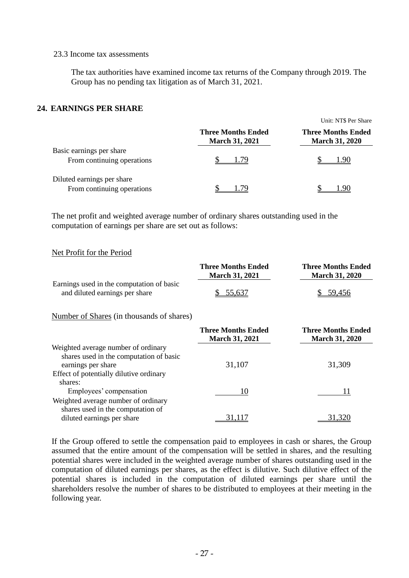#### 23.3 Income tax assessments

The tax authorities have examined income tax returns of the Company through 2019. The Group has no pending tax litigation as of March 31, 2021.

### **24. EARNINGS PER SHARE**

|                                                          |                                                    | Unit: NT\$ Per Share                               |
|----------------------------------------------------------|----------------------------------------------------|----------------------------------------------------|
|                                                          | <b>Three Months Ended</b><br><b>March 31, 2021</b> | <b>Three Months Ended</b><br><b>March 31, 2020</b> |
| Basic earnings per share<br>From continuing operations   | 1.79                                               | 1.90                                               |
| Diluted earnings per share<br>From continuing operations |                                                    |                                                    |

The net profit and weighted average number of ordinary shares outstanding used in the computation of earnings per share are set out as follows:

#### Net Profit for the Period

|                                                                             | <b>Three Months Ended</b><br><b>March 31, 2021</b> | <b>Three Months Ended</b><br><b>March 31, 2020</b> |
|-----------------------------------------------------------------------------|----------------------------------------------------|----------------------------------------------------|
| Earnings used in the computation of basic<br>and diluted earnings per share | \$55,637                                           | \$59,456                                           |

Number of Shares (in thousands of shares)

|                                         | <b>Three Months Ended</b><br><b>March 31, 2021</b> | <b>Three Months Ended</b><br><b>March 31, 2020</b> |
|-----------------------------------------|----------------------------------------------------|----------------------------------------------------|
| Weighted average number of ordinary     |                                                    |                                                    |
| shares used in the computation of basic |                                                    |                                                    |
| earnings per share                      | 31,107                                             | 31,309                                             |
| Effect of potentially dilutive ordinary |                                                    |                                                    |
| shares:                                 |                                                    |                                                    |
| Employees' compensation                 | 10                                                 |                                                    |
| Weighted average number of ordinary     |                                                    |                                                    |
| shares used in the computation of       |                                                    |                                                    |
| diluted earnings per share              | 31.117                                             |                                                    |

If the Group offered to settle the compensation paid to employees in cash or shares, the Group assumed that the entire amount of the compensation will be settled in shares, and the resulting potential shares were included in the weighted average number of shares outstanding used in the computation of diluted earnings per shares, as the effect is dilutive. Such dilutive effect of the potential shares is included in the computation of diluted earnings per share until the shareholders resolve the number of shares to be distributed to employees at their meeting in the following year.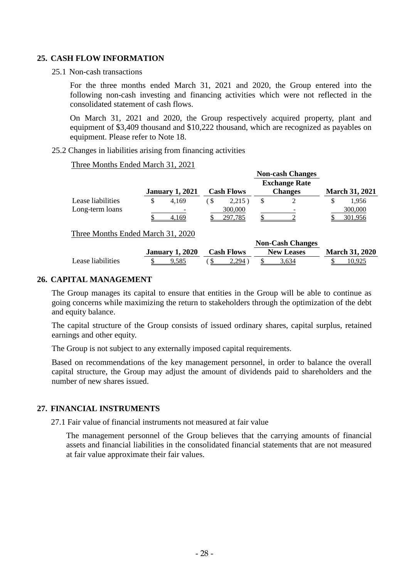#### **25. CASH FLOW INFORMATION**

25.1 Non-cash transactions

For the three months ended March 31, 2021 and 2020, the Group entered into the following non-cash investing and financing activities which were not reflected in the consolidated statement of cash flows.

On March 31, 2021 and 2020, the Group respectively acquired property, plant and equipment of \$3,409 thousand and \$10,222 thousand, which are recognized as payables on equipment. Please refer to Note 18.

#### 25.2 Changes in liabilities arising from financing activities

Three Months Ended March 31, 2021

|                   |                        |     |                   | <b>Non-cash Changes</b>  |                       |
|-------------------|------------------------|-----|-------------------|--------------------------|-----------------------|
|                   |                        |     |                   | <b>Exchange Rate</b>     |                       |
|                   | <b>January 1, 2021</b> |     | <b>Cash Flows</b> | <b>Changes</b>           | <b>March 31, 2021</b> |
| Lease liabilities | 4.169                  | . ა | 2,215)            |                          | 1.956                 |
| Long-term loans   |                        |     | 300,000           | $\overline{\phantom{a}}$ | 300,000               |
|                   | 4,169                  |     | 297,785           |                          | 301,956               |

Three Months Ended March 31, 2020

|                   |                        |                   | <b>Non-Cash Changes</b> |                       |
|-------------------|------------------------|-------------------|-------------------------|-----------------------|
|                   | <b>January 1, 2020</b> | <b>Cash Flows</b> | <b>New Leases</b>       | <b>March 31, 2020</b> |
| Lease liabilities | 9.585                  | 2.294             |                         |                       |

#### **26. CAPITAL MANAGEMENT**

The Group manages its capital to ensure that entities in the Group will be able to continue as going concerns while maximizing the return to stakeholders through the optimization of the debt and equity balance.

The capital structure of the Group consists of issued ordinary shares, capital surplus, retained earnings and other equity.

The Group is not subject to any externally imposed capital requirements.

Based on recommendations of the key management personnel, in order to balance the overall capital structure, the Group may adjust the amount of dividends paid to shareholders and the number of new shares issued.

#### **27. FINANCIAL INSTRUMENTS**

27.1 Fair value of financial instruments not measured at fair value

The management personnel of the Group believes that the carrying amounts of financial assets and financial liabilities in the consolidated financial statements that are not measured at fair value approximate their fair values.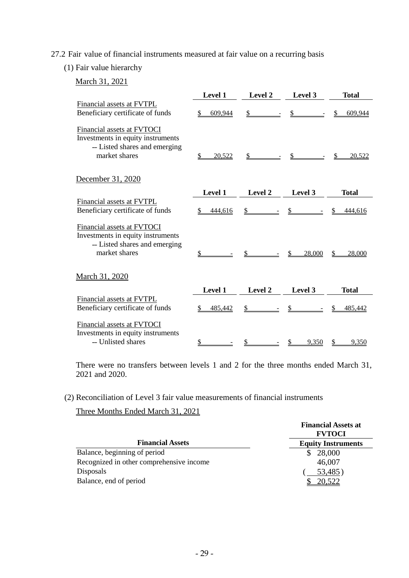# 27.2 Fair value of financial instruments measured at fair value on a recurring basis

#### (1) Fair value hierarchy

March 31, 2021

|                                                                                                                   | Level 1        | <b>Level 2</b> | Level 3      | <b>Total</b> |
|-------------------------------------------------------------------------------------------------------------------|----------------|----------------|--------------|--------------|
| Financial assets at FVTPL<br>Beneficiary certificate of funds                                                     | 609.944<br>S   | \$             | \$           | 609.944      |
| Financial assets at FVTOCI<br>Investments in equity instruments<br>-- Listed shares and emerging<br>market shares | 20,522         |                |              | 20,522       |
| December 31, 2020                                                                                                 |                |                |              |              |
|                                                                                                                   | <b>Level 1</b> | <b>Level 2</b> | Level 3      | Total        |
| Financial assets at FVTPL<br>Beneficiary certificate of funds                                                     | 444,616<br>S   |                | \$.          | 444,616      |
| Financial assets at FVTOCI<br>Investments in equity instruments<br>-- Listed shares and emerging<br>market shares |                |                | \$<br>28,000 | 28,000       |
| March 31, 2020                                                                                                    |                |                |              |              |
|                                                                                                                   | Level 1        | Level 2        | Level 3      | <b>Total</b> |
| Financial assets at FVTPL<br>Beneficiary certificate of funds                                                     | 485,442        |                |              | 485,442      |
| Financial assets at FVTOCI<br>Investments in equity instruments<br>- Unlisted shares                              | \$             |                | \$<br>9,350  | 9,350        |

There were no transfers between levels 1 and 2 for the three months ended March 31, 2021 and 2020.

(2) Reconciliation of Level 3 fair value measurements of financial instruments

Three Months Ended March 31, 2021

|                                          | <b>Financial Assets at</b><br><b>FVTOCI</b> |
|------------------------------------------|---------------------------------------------|
| <b>Financial Assets</b>                  | <b>Equity Instruments</b>                   |
| Balance, beginning of period             | 28,000                                      |
| Recognized in other comprehensive income | 46,007                                      |
| Disposals                                | 53,485)                                     |
| Balance, end of period                   | 20.522                                      |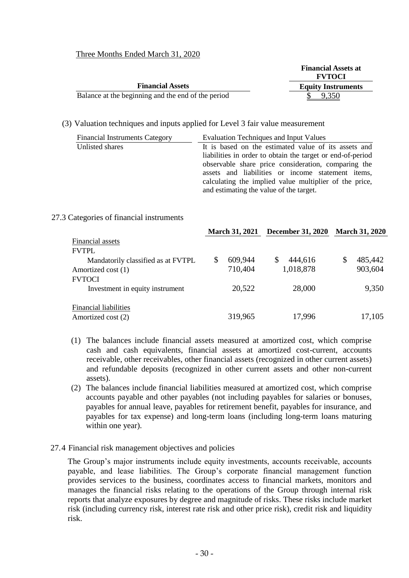#### Three Months Ended March 31, 2020

|                                                    | <b>Financial Assets at</b><br><b>FVTOCI</b> |
|----------------------------------------------------|---------------------------------------------|
| <b>Financial Assets</b>                            | <b>Equity Instruments</b>                   |
| Balance at the beginning and the end of the period | 9,350                                       |

#### (3) Valuation techniques and inputs applied for Level 3 fair value measurement

| <b>Financial Instruments Category</b> | Evaluation Techniques and Input Values                     |  |  |  |  |
|---------------------------------------|------------------------------------------------------------|--|--|--|--|
| Unlisted shares                       | It is based on the estimated value of its assets and       |  |  |  |  |
|                                       | liabilities in order to obtain the target or end-of-period |  |  |  |  |
|                                       | observable share price consideration, comparing the        |  |  |  |  |
|                                       | assets and liabilities or income statement items,          |  |  |  |  |
|                                       | calculating the implied value multiplier of the price,     |  |  |  |  |
|                                       | and estimating the value of the target.                    |  |  |  |  |

#### 27.3 Categories of financial instruments

|                                    | <b>March 31, 2021</b> | <b>December 31, 2020</b> | <b>March 31, 2020</b> |
|------------------------------------|-----------------------|--------------------------|-----------------------|
| Financial assets                   |                       |                          |                       |
| <b>FVTPL</b>                       |                       |                          |                       |
| Mandatorily classified as at FVTPL | \$<br>609,944         | 444,616                  | 485,442               |
| Amortized cost (1)                 | 710,404               | 1,018,878                | 903,604               |
| <b>FVTOCI</b>                      |                       |                          |                       |
| Investment in equity instrument    | 20,522                | 28,000                   | 9,350                 |
|                                    |                       |                          |                       |
| <b>Financial liabilities</b>       |                       |                          |                       |
| Amortized cost (2)                 | 319,965               | 17,996                   | 17,105                |

- (1) The balances include financial assets measured at amortized cost, which comprise cash and cash equivalents, financial assets at amortized cost-current, accounts receivable, other receivables, other financial assets (recognized in other current assets) and refundable deposits (recognized in other current assets and other non-current assets).
- (2) The balances include financial liabilities measured at amortized cost, which comprise accounts payable and other payables (not including payables for salaries or bonuses, payables for annual leave, payables for retirement benefit, payables for insurance, and payables for tax expense) and long-term loans (including long-term loans maturing within one year).

#### 27.4 Financial risk management objectives and policies

The Group's major instruments include equity investments, accounts receivable, accounts payable, and lease liabilities. The Group's corporate financial management function provides services to the business, coordinates access to financial markets, monitors and manages the financial risks relating to the operations of the Group through internal risk reports that analyze exposures by degree and magnitude of risks. These risks include market risk (including currency risk, interest rate risk and other price risk), credit risk and liquidity risk.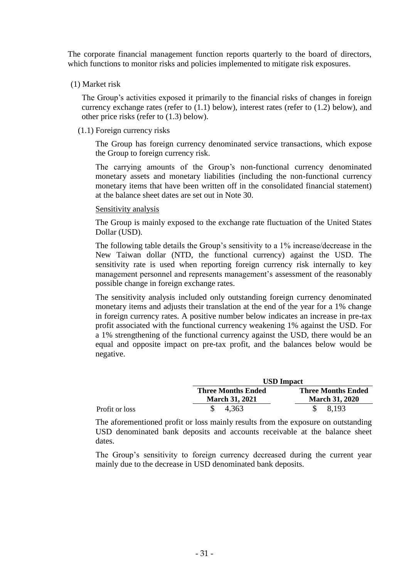The corporate financial management function reports quarterly to the board of directors, which functions to monitor risks and policies implemented to mitigate risk exposures.

(1) Market risk

The Group's activities exposed it primarily to the financial risks of changes in foreign currency exchange rates (refer to (1.1) below), interest rates (refer to (1.2) below), and other price risks (refer to (1.3) below).

(1.1) Foreign currency risks

The Group has foreign currency denominated service transactions, which expose the Group to foreign currency risk.

The carrying amounts of the Group's non-functional currency denominated monetary assets and monetary liabilities (including the non-functional currency monetary items that have been written off in the consolidated financial statement) at the balance sheet dates are set out in Note 30.

#### Sensitivity analysis

The Group is mainly exposed to the exchange rate fluctuation of the United States Dollar (USD).

The following table details the Group's sensitivity to a 1% increase/decrease in the New Taiwan dollar (NTD, the functional currency) against the USD. The sensitivity rate is used when reporting foreign currency risk internally to key management personnel and represents management's assessment of the reasonably possible change in foreign exchange rates.

The sensitivity analysis included only outstanding foreign currency denominated monetary items and adjusts their translation at the end of the year for a 1% change in foreign currency rates. A positive number below indicates an increase in pre-tax profit associated with the functional currency weakening 1% against the USD. For a 1% strengthening of the functional currency against the USD, there would be an equal and opposite impact on pre-tax profit, and the balances below would be negative.

|                |                           | <b>USD</b> Impact         |  |  |  |  |
|----------------|---------------------------|---------------------------|--|--|--|--|
|                | <b>Three Months Ended</b> | <b>Three Months Ended</b> |  |  |  |  |
|                | <b>March 31, 2021</b>     | <b>March 31, 2020</b>     |  |  |  |  |
| Profit or loss | 4.363                     | 8.193                     |  |  |  |  |

The aforementioned profit or loss mainly results from the exposure on outstanding USD denominated bank deposits and accounts receivable at the balance sheet dates.

The Group's sensitivity to foreign currency decreased during the current year mainly due to the decrease in USD denominated bank deposits.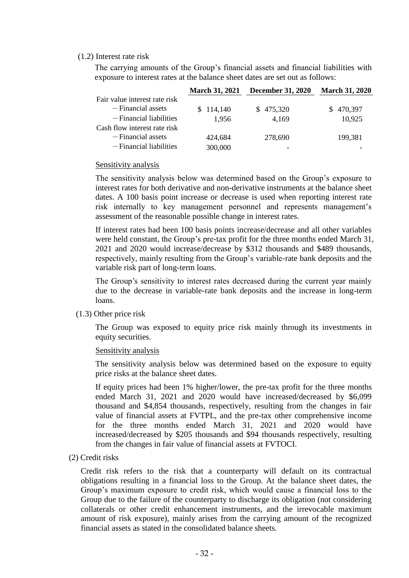#### (1.2) Interest rate risk

The carrying amounts of the Group's financial assets and financial liabilities with exposure to interest rates at the balance sheet dates are set out as follows:

|                               | <b>March 31, 2021</b> | <b>December 31, 2020</b> | <b>March 31, 2020</b> |
|-------------------------------|-----------------------|--------------------------|-----------------------|
| Fair value interest rate risk |                       |                          |                       |
| -Financial assets             | \$114,140             | \$475,320                | 470,397<br>\$.        |
| -Financial liabilities        | 1,956                 | 4,169                    | 10,925                |
| Cash flow interest rate risk  |                       |                          |                       |
| -Financial assets             | 424,684               | 278,690                  | 199,381               |
| -Financial liabilities        | 300,000               |                          |                       |

#### Sensitivity analysis

The sensitivity analysis below was determined based on the Group's exposure to interest rates for both derivative and non-derivative instruments at the balance sheet dates. A 100 basis point increase or decrease is used when reporting interest rate risk internally to key management personnel and represents management's assessment of the reasonable possible change in interest rates.

If interest rates had been 100 basis points increase/decrease and all other variables were held constant, the Group's pre-tax profit for the three months ended March 31, 2021 and 2020 would increase/decrease by \$312 thousands and \$489 thousands, respectively, mainly resulting from the Group's variable-rate bank deposits and the variable risk part of long-term loans.

The Group's sensitivity to interest rates decreased during the current year mainly due to the decrease in variable-rate bank deposits and the increase in long-term loans.

(1.3) Other price risk

The Group was exposed to equity price risk mainly through its investments in equity securities.

#### Sensitivity analysis

The sensitivity analysis below was determined based on the exposure to equity price risks at the balance sheet dates.

If equity prices had been 1% higher/lower, the pre-tax profit for the three months ended March 31, 2021 and 2020 would have increased/decreased by \$6,099 thousand and \$4,854 thousands, respectively, resulting from the changes in fair value of financial assets at FVTPL, and the pre-tax other comprehensive income for the three months ended March 31, 2021 and 2020 would have increased/decreased by \$205 thousands and \$94 thousands respectively, resulting from the changes in fair value of financial assets at FVTOCI.

(2) Credit risks

Credit risk refers to the risk that a counterparty will default on its contractual obligations resulting in a financial loss to the Group. At the balance sheet dates, the Group's maximum exposure to credit risk, which would cause a financial loss to the Group due to the failure of the counterparty to discharge its obligation (not considering collaterals or other credit enhancement instruments, and the irrevocable maximum amount of risk exposure), mainly arises from the carrying amount of the recognized financial assets as stated in the consolidated balance sheets.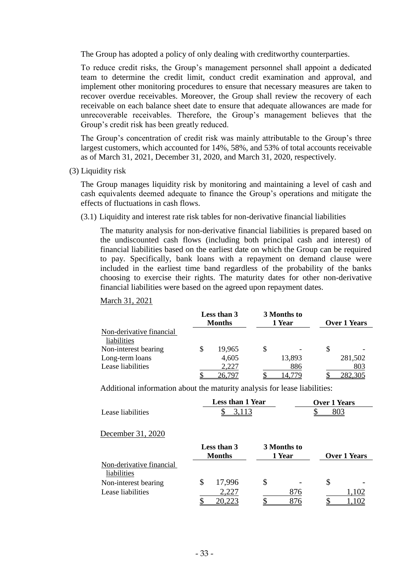The Group has adopted a policy of only dealing with creditworthy counterparties.

To reduce credit risks, the Group's management personnel shall appoint a dedicated team to determine the credit limit, conduct credit examination and approval, and implement other monitoring procedures to ensure that necessary measures are taken to recover overdue receivables. Moreover, the Group shall review the recovery of each receivable on each balance sheet date to ensure that adequate allowances are made for unrecoverable receivables. Therefore, the Group's management believes that the Group's credit risk has been greatly reduced.

The Group's concentration of credit risk was mainly attributable to the Group's three largest customers, which accounted for 14%, 58%, and 53% of total accounts receivable as of March 31, 2021, December 31, 2020, and March 31, 2020, respectively.

(3) Liquidity risk

The Group manages liquidity risk by monitoring and maintaining a level of cash and cash equivalents deemed adequate to finance the Group's operations and mitigate the effects of fluctuations in cash flows.

(3.1) Liquidity and interest rate risk tables for non-derivative financial liabilities

The maturity analysis for non-derivative financial liabilities is prepared based on the undiscounted cash flows (including both principal cash and interest) of financial liabilities based on the earliest date on which the Group can be required to pay. Specifically, bank loans with a repayment on demand clause were included in the earliest time band regardless of the probability of the banks choosing to exercise their rights. The maturity dates for other non-derivative financial liabilities were based on the agreed upon repayment dates.

March 31, 2021

|                          |    | Less than 3<br><b>Months</b> |    | 1 Year |    | 3 Months to |  | <b>Over 1 Years</b> |
|--------------------------|----|------------------------------|----|--------|----|-------------|--|---------------------|
| Non-derivative financial |    |                              |    |        |    |             |  |                     |
| liabilities              |    |                              |    |        |    |             |  |                     |
| Non-interest bearing     | \$ | 19,965                       | \$ |        | \$ |             |  |                     |
| Long-term loans          |    | 4,605                        |    | 13,893 |    | 281,502     |  |                     |
| Lease liabilities        |    | 2,227                        |    | 886    |    | 803         |  |                     |
|                          |    | `הי                          |    |        |    |             |  |                     |

Additional information about the maturity analysis for lease liabilities:

|                   | <b>Less than 1 Year</b> | <b>Over 1 Years</b> |
|-------------------|-------------------------|---------------------|
| Lease liabilities | 3,113                   |                     |
|                   |                         |                     |
| December 31, 2020 |                         |                     |

|                                         | Less than 3<br><b>Months</b> |        | 3 Months to<br>1 Year |     | <b>Over 1 Years</b> |      |
|-----------------------------------------|------------------------------|--------|-----------------------|-----|---------------------|------|
| Non-derivative financial<br>liabilities |                              |        |                       |     |                     |      |
| Non-interest bearing                    |                              | 17,996 |                       |     |                     |      |
| Lease liabilities                       |                              | 2,227  |                       | 876 |                     | ,102 |
|                                         |                              |        |                       | 876 |                     |      |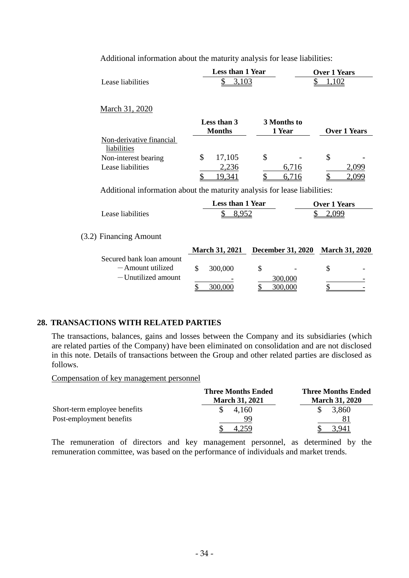Additional information about the maturity analysis for lease liabilities:

|                                                                           | <b>Less than 1 Year</b> |             | <b>Over 1 Years</b> |
|---------------------------------------------------------------------------|-------------------------|-------------|---------------------|
| Lease liabilities                                                         | S<br>3,103              |             | 1,102<br>S          |
| March 31, 2020                                                            |                         |             |                     |
|                                                                           | Less than 3             | 3 Months to |                     |
|                                                                           | <b>Months</b>           | 1 Year      | <b>Over 1 Years</b> |
| Non-derivative financial<br>liabilities                                   |                         |             |                     |
| Non-interest bearing                                                      | \$<br>17,105            | \$          | \$                  |
| Lease liabilities                                                         | 2,236                   | 6,716       | 2,099               |
|                                                                           | ፍ<br>19,341             | 6,716       | \$<br>2,099         |
| Additional information about the maturity analysis for lease liabilities: |                         |             |                     |
|                                                                           | <b>Less than 1 Year</b> |             | <b>Over 1 Years</b> |
| Lease liabilities                                                         | 8,952                   |             | 2,099               |
|                                                                           |                         |             |                     |
|                                                                           |                         |             |                     |

#### (3.2) Financing Amount

|                          |         | March 31, 2021 December 31, 2020 March 31, 2020 |   |
|--------------------------|---------|-------------------------------------------------|---|
| Secured bank loan amount |         |                                                 |   |
| -Amount utilized         | 300,000 | $\qquad \qquad -$                               | - |
| — Unutilized amount      |         | 300,000                                         | - |
|                          | 300-000 | 300.000                                         | - |

# **28. TRANSACTIONS WITH RELATED PARTIES**

The transactions, balances, gains and losses between the Company and its subsidiaries (which are related parties of the Company) have been eliminated on consolidation and are not disclosed in this note. Details of transactions between the Group and other related parties are disclosed as follows.

Compensation of key management personnel

|                              | <b>Three Months Ended</b><br><b>March 31, 2021</b> | <b>Three Months Ended</b><br><b>March 31, 2020</b> |  |  |
|------------------------------|----------------------------------------------------|----------------------------------------------------|--|--|
| Short-term employee benefits | 4.160                                              | 3,860                                              |  |  |
| Post-employment benefits     | QQ                                                 |                                                    |  |  |
|                              |                                                    | 94                                                 |  |  |

The remuneration of directors and key management personnel, as determined by the remuneration committee, was based on the performance of individuals and market trends.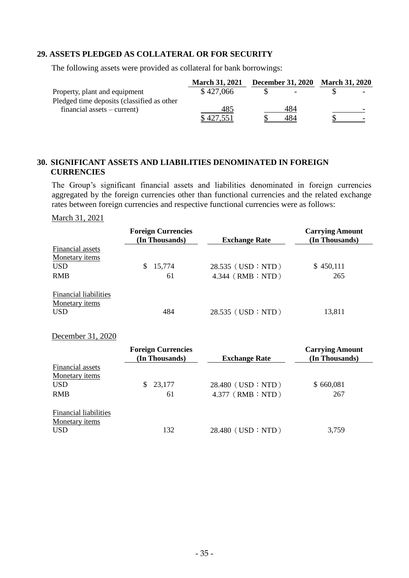### **29. ASSETS PLEDGED AS COLLATERAL OR FOR SECURITY**

The following assets were provided as collateral for bank borrowings:

|                                            | <b>March 31, 2021</b> | <b>December 31, 2020</b> | <b>March 31, 2020</b> |                          |
|--------------------------------------------|-----------------------|--------------------------|-----------------------|--------------------------|
| Property, plant and equipment              | \$427,066             |                          |                       |                          |
| Pledged time deposits (classified as other |                       |                          |                       |                          |
| $financial$ assets $- current$ )           | 485                   | 484                      |                       | $\overline{\phantom{0}}$ |
|                                            | \$427,551             | 484                      |                       | $\overline{\phantom{a}}$ |

# **30. SIGNIFICANT ASSETS AND LIABILITIES DENOMINATED IN FOREIGN CURRENCIES**

The Group's significant financial assets and liabilities denominated in foreign currencies aggregated by the foreign currencies other than functional currencies and the related exchange rates between foreign currencies and respective functional currencies were as follows:

#### March 31, 2021

|                              | <b>Foreign Currencies</b> |                      | <b>Carrying Amount</b> |
|------------------------------|---------------------------|----------------------|------------------------|
|                              | (In Thousands)            | <b>Exchange Rate</b> | (In Thousands)         |
| Financial assets             |                           |                      |                        |
| Monetary <i>items</i>        |                           |                      |                        |
| <b>USD</b>                   | 15,774                    | 28.535 (USD : NTD)   | \$450,111              |
| <b>RMB</b>                   | 61                        | 4.344 (RMB : NTD)    | 265                    |
| <b>Financial liabilities</b> |                           |                      |                        |
| Monetary items<br><b>USD</b> | 484                       | 28.535 (USD : NTD)   | 13,811                 |

#### December 31, 2020

|                              | <b>Foreign Currencies</b><br>(In Thousands) | <b>Exchange Rate</b> | <b>Carrying Amount</b><br>(In Thousands) |
|------------------------------|---------------------------------------------|----------------------|------------------------------------------|
| Financial assets             |                                             |                      |                                          |
| Monetary items               |                                             |                      |                                          |
| <b>USD</b>                   | 23,177                                      | 28.480 (USD : NTD)   | \$660,081                                |
| <b>RMB</b>                   | 61                                          | $4.377$ (RMB : NTD)  | 267                                      |
| <b>Financial liabilities</b> |                                             |                      |                                          |
| Monetary items               |                                             |                      |                                          |
| <b>USD</b>                   | 132                                         | 28.480 (USD : NTD)   | 3,759                                    |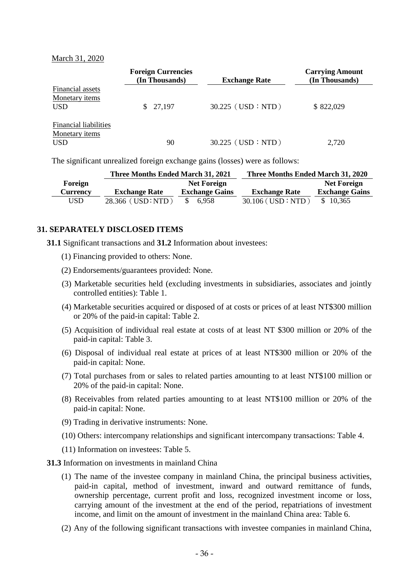#### March 31, 2020

|                                                              | <b>Foreign Currencies</b><br>(In Thousands) | <b>Exchange Rate</b> | <b>Carrying Amount</b><br>(In Thousands) |
|--------------------------------------------------------------|---------------------------------------------|----------------------|------------------------------------------|
| Financial assets<br>Monetary items<br><b>USD</b>             | \$27,197                                    | $30.225$ (USD : NTD) | \$822,029                                |
| <b>Financial liabilities</b><br>Monetary items<br><b>USD</b> | 90                                          | $30.225$ (USD : NTD) | 2,720                                    |

The significant unrealized foreign exchange gains (losses) were as follows:

|                 | Three Months Ended March 31, 2021 |                       | Three Months Ended March 31, 2020 |                       |  |  |  |
|-----------------|-----------------------------------|-----------------------|-----------------------------------|-----------------------|--|--|--|
| Foreign         |                                   | <b>Net Foreign</b>    |                                   | <b>Net Foreign</b>    |  |  |  |
| <b>Currency</b> | <b>Exchange Rate</b>              | <b>Exchange Gains</b> | <b>Exchange Rate</b>              | <b>Exchange Gains</b> |  |  |  |
| USD.            | 28.366 (USD:NTD)                  | 6,958                 | $30.106$ (USD : NTD)              | \$10,365              |  |  |  |

#### **31. SEPARATELY DISCLOSED ITEMS**

**31.1** Significant transactions and **31.2** Information about investees:

- (1) Financing provided to others: None.
- (2) Endorsements/guarantees provided: None.
- (3) Marketable securities held (excluding investments in subsidiaries, associates and jointly controlled entities): Table 1.
- (4) Marketable securities acquired or disposed of at costs or prices of at least NT\$300 million or 20% of the paid-in capital: Table 2.
- (5) Acquisition of individual real estate at costs of at least NT \$300 million or 20% of the paid-in capital: Table 3.
- (6) Disposal of individual real estate at prices of at least NT\$300 million or 20% of the paid-in capital: None.
- (7) Total purchases from or sales to related parties amounting to at least NT\$100 million or 20% of the paid-in capital: None.
- (8) Receivables from related parties amounting to at least NT\$100 million or 20% of the paid-in capital: None.
- (9) Trading in derivative instruments: None.
- (10) Others: intercompany relationships and significant intercompany transactions: Table 4.
- (11) Information on investees: Table 5.

#### **31.3** Information on investments in mainland China

- (1) The name of the investee company in mainland China, the principal business activities, paid-in capital, method of investment, inward and outward remittance of funds, ownership percentage, current profit and loss, recognized investment income or loss, carrying amount of the investment at the end of the period, repatriations of investment income, and limit on the amount of investment in the mainland China area: Table 6.
- (2) Any of the following significant transactions with investee companies in mainland China,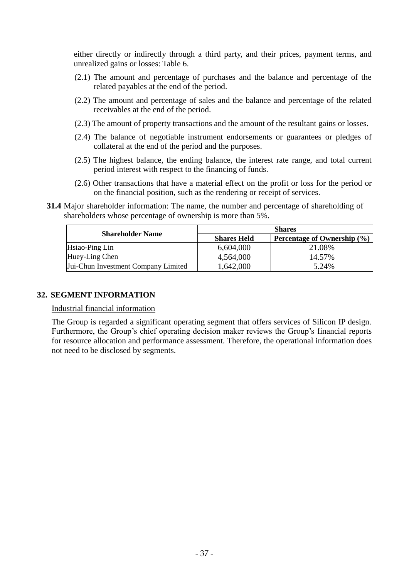either directly or indirectly through a third party, and their prices, payment terms, and unrealized gains or losses: Table 6.

- (2.1) The amount and percentage of purchases and the balance and percentage of the related payables at the end of the period.
- (2.2) The amount and percentage of sales and the balance and percentage of the related receivables at the end of the period.
- (2.3) The amount of property transactions and the amount of the resultant gains or losses.
- (2.4) The balance of negotiable instrument endorsements or guarantees or pledges of collateral at the end of the period and the purposes.
- (2.5) The highest balance, the ending balance, the interest rate range, and total current period interest with respect to the financing of funds.
- (2.6) Other transactions that have a material effect on the profit or loss for the period or on the financial position, such as the rendering or receipt of services.
- **31.4** Major shareholder information: The name, the number and percentage of shareholding of shareholders whose percentage of ownership is more than 5%.

| <b>Shareholder Name</b>             |                    | <b>Shares</b>               |
|-------------------------------------|--------------------|-----------------------------|
|                                     | <b>Shares Held</b> | Percentage of Ownership (%) |
| Hsiao-Ping Lin                      | 6,604,000          | 21.08%                      |
| Huey-Ling Chen                      | 4,564,000          | 14.57%                      |
| Jui-Chun Investment Company Limited | 1,642,000          | 5.24%                       |

## **32. SEGMENT INFORMATION**

#### Industrial financial information

The Group is regarded a significant operating segment that offers services of Silicon IP design. Furthermore, the Group's chief operating decision maker reviews the Group's financial reports for resource allocation and performance assessment. Therefore, the operational information does not need to be disclosed by segments.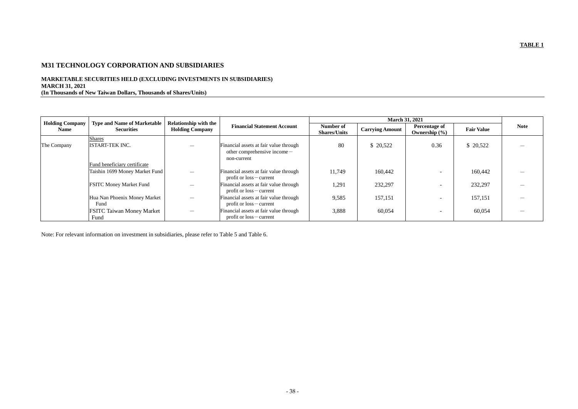# **M31 TECHNOLOGY CORPORATION AND SUBSIDIARIES**

# **MARKETABLE SECURITIES HELD (EXCLUDING INVESTMENTS IN SUBSIDIARIES) MARCH 31, 2021 (In Thousands of New Taiwan Dollars, Thousands of Shares/Units)**

| <b>Holding Company</b> | <b>Type and Name of Marketable</b>                             | <b>Relationship with the</b> |                                                                                      |                                  | <b>March 31, 2021</b>  |                                           |                   |             |
|------------------------|----------------------------------------------------------------|------------------------------|--------------------------------------------------------------------------------------|----------------------------------|------------------------|-------------------------------------------|-------------------|-------------|
| <b>Name</b>            | <b>Securities</b>                                              | <b>Holding Company</b>       | <b>Financial Statement Account</b>                                                   | Number of<br><b>Shares/Units</b> | <b>Carrying Amount</b> | <b>Percentage of</b><br>Ownership $(\% )$ | <b>Fair Value</b> | <b>Note</b> |
| The Company            | <b>Shares</b><br><b>ISTART-TEK INC.</b>                        |                              | Financial assets at fair value through<br>other comprehensive income-<br>non-current | 80                               | \$20,522               | 0.36                                      | \$20,522          |             |
|                        | Fund beneficiary certificate<br>Taishin 1699 Money Market Fund | $\overline{\phantom{m}}$     | Financial assets at fair value through<br>profit or loss – current                   | 11,749                           | 160,442                | $\overline{\phantom{0}}$                  | 160,442           |             |
|                        | <b>FSITC Money Market Fund</b>                                 |                              | Financial assets at fair value through<br>$profit$ or $loss$ - current               | 1,291                            | 232,297                | $\overline{\phantom{0}}$                  | 232,297           |             |
|                        | Hua Nan Phoenix Money Market<br>Fund                           |                              | Financial assets at fair value through<br>profit or $loss$ - current                 | 9,585                            | 157,151                | $\overline{\phantom{0}}$                  | 157,151           |             |
|                        | <b>FSITC Taiwan Money Market</b><br>Fund                       | $\overline{\phantom{0}}$     | Financial assets at fair value through<br>$profit$ or $loss$ - current               | 3,888                            | 60,054                 | $\overline{\phantom{0}}$                  | 60,054            |             |

Note: For relevant information on investment in subsidiaries, please refer to Table 5 and Table 6.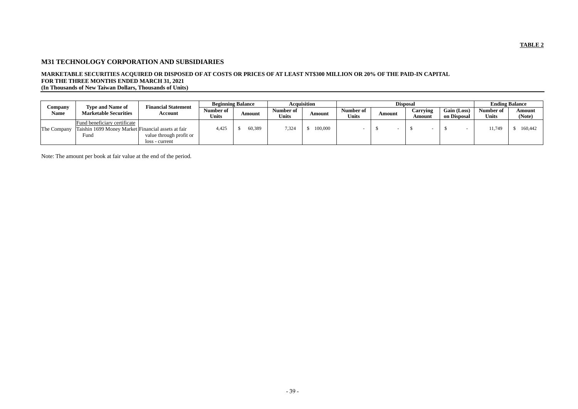# **M31 TECHNOLOGY CORPORATION AND SUBSIDIARIES**

# **MARKETABLE SECURITIES ACQUIRED OR DISPOSED OF AT COSTS OR PRICES OF AT LEAST NT\$300 MILLION OR 20% OF THE PAID-IN CAPITAL FOR THE THREE MONTHS ENDED MARCH 31, 2021**

**(In Thousands of New Taiwan Dollars, Thousands of Units)**

|                        |                                                         |                                       |              | <b>Beginning Balance</b> |              | <b>Acquisition</b> | <b>Disposal</b> |        |          |             | <b>Ending Balance</b> |         |
|------------------------|---------------------------------------------------------|---------------------------------------|--------------|--------------------------|--------------|--------------------|-----------------|--------|----------|-------------|-----------------------|---------|
| Company<br><b>Name</b> | <b>Type and Name of</b><br><b>Marketable Securities</b> | <b>Financial Statement</b><br>Account | Number of    | Amount                   | Number of    | Amount             | Number of       | Amount | Carrying | Gain (Loss) | Number of             | Amount  |
|                        |                                                         |                                       | <b>Units</b> |                          | <b>Units</b> |                    | <b>Units</b>    |        | Amount   | on Disposal | <b>Units</b>          | (Note)  |
|                        | Fund beneficiary certificate                            |                                       |              |                          |              |                    |                 |        |          |             |                       |         |
| The Company            | Taishin 1699 Money Market Financial assets at fair      |                                       | 4.425        | 60,389                   | 7,324        | 100,000            |                 |        |          |             | 11,749                | 160,442 |
|                        | Fund                                                    | value through profit or               |              |                          |              |                    |                 |        |          |             |                       |         |
|                        |                                                         | loss - current                        |              |                          |              |                    |                 |        |          |             |                       |         |

Note: The amount per book at fair value at the end of the period.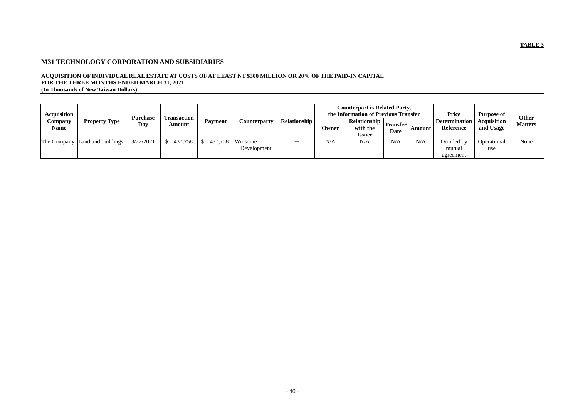# **M31 TECHNOLOGY CORPORATION AND SUBSIDIARIES**

#### **ACQUISITION OF INDIVIDUAL REAL ESTATE AT COSTS OF AT LEAST NT \$300 MILLION OR 20% OF THE PAID-IN CAPITAL FOR THE THREE MONTHS ENDED MARCH 31, 2021 (In Thousands of New Taiwan Dollars)**

| <b>Acquisition</b>     |                                  | <b>Purchase</b> | <b>Transaction</b> |                |                        | <b>Relationship</b> |       | <b>Counterpart is Related Party,</b><br>the Information of Previous Transfer |             |        | Price                                    | <b>Purpose of</b>               | <b>Other</b>   |
|------------------------|----------------------------------|-----------------|--------------------|----------------|------------------------|---------------------|-------|------------------------------------------------------------------------------|-------------|--------|------------------------------------------|---------------------------------|----------------|
| Company<br><b>Name</b> | <b>Property Type</b>             | Day             | Amount             | <b>Payment</b> | <b>Counterparty</b>    |                     | Owner | Relationship   Transfer<br>with the<br><i><u><b>Issuer</b></u></i>           | <b>Date</b> | Amount | <b>Determination</b><br><b>Reference</b> | <b>Acquisition</b><br>and Usage | <b>Matters</b> |
|                        | The Company   Land and buildings | 3/22/2021       | 437,758            | 437,758        | Winsome<br>Development | —                   | N/A   | N/A                                                                          | N/A         | N/A    | Decided by<br>mutual<br>agreement        | Operational<br>use              | None           |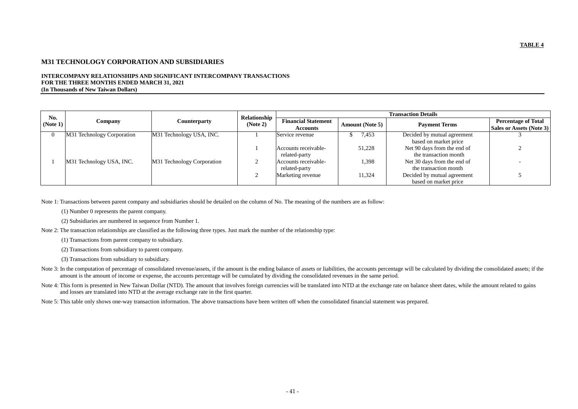# **M31 TECHNOLOGY CORPORATION AND SUBSIDIARIES**

#### **INTERCOMPANY RELATIONSHIPS AND SIGNIFICANT INTERCOMPANY TRANSACTIONS FOR THE THREE MONTHS ENDED MARCH 31, 2021 (In Thousands of New Taiwan Dollars)**

| No.      | Relationship<br><b>Financial Statement</b><br><b>Counterparty</b><br><b>Company</b> |                            |          | <b>Transaction Details</b> |                        |                             |                                                               |
|----------|-------------------------------------------------------------------------------------|----------------------------|----------|----------------------------|------------------------|-----------------------------|---------------------------------------------------------------|
| (Note 1) |                                                                                     |                            | (Note 2) | <b>Accounts</b>            | <b>Amount (Note 5)</b> | <b>Payment Terms</b>        | <b>Percentage of Total</b><br><b>Sales or Assets (Note 3)</b> |
|          | M31 Technology Corporation                                                          | M31 Technology USA, INC.   |          | Service revenue            | 7,453                  | Decided by mutual agreement |                                                               |
|          |                                                                                     |                            |          |                            |                        | based on market price       |                                                               |
|          |                                                                                     |                            |          | Accounts receivable-       | 51,228                 | Net 90 days from the end of |                                                               |
|          |                                                                                     |                            |          | related-party              |                        | the transaction month       |                                                               |
|          | M31 Technology USA, INC.                                                            | M31 Technology Corporation |          | Accounts receivable-       | 1,398                  | Net 30 days from the end of |                                                               |
|          |                                                                                     |                            |          | related-party              |                        | the transaction month       |                                                               |
|          |                                                                                     |                            |          | Marketing revenue          | 11,324                 | Decided by mutual agreement |                                                               |
|          |                                                                                     |                            |          |                            |                        | based on market price       |                                                               |

Note 3: In the computation of percentage of consolidated revenue/assets, if the amount is the ending balance of assets or liabilities, the accounts percentage will be calculated by dividing the consolidated assets; if the amount is the amount of income or expense, the accounts percentage will be cumulated by dividing the consolidated revenues in the same period.

Note 1: Transactions between parent company and subsidiaries should be detailed on the column of No. The meaning of the numbers are as follow:

Note 4: This form is presented in New Taiwan Dollar (NTD). The amount that involves foreign currencies will be translated into NTD at the exchange rate on balance sheet dates, while the amount related to gains and losses are translated into NTD at the average exchange rate in the first quarter.

(1) Number 0 represents the parent company.

(2) Subsidiaries are numbered in sequence from Number 1.

Note 2: The transaction relationships are classified as the following three types. Just mark the number of the relationship type:

(1) Transactions from parent company to subsidiary.

(2) Transactions from subsidiary to parent company.

(3) Transactions from subsidiary to subsidiary.

Note 5: This table only shows one-way transaction information. The above transactions have been written off when the consolidated financial statement was prepared.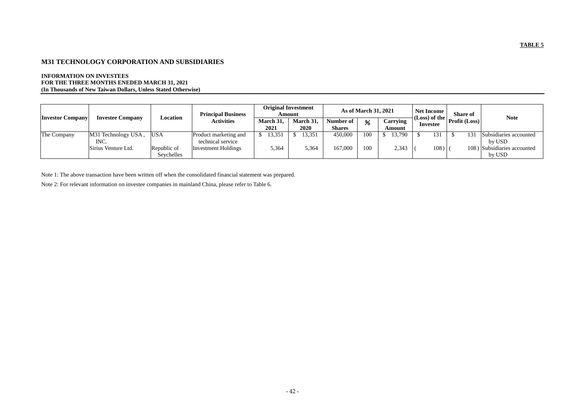# **M31 TECHNOLOGY CORPORATION AND SUBSIDIARIES**

## **INFORMATION ON INVESTEES FOR THE THREE MONTHS ENEDED MARCH 31, 2021 (In Thousands of New Taiwan Dollars, Unless Stated Otherwise)**

| <b>Investor Company</b> | <b>Investee Company</b>                            | Location                                | <b>Principal Business</b><br><b>Activities</b>                    | <b>Original Investment</b><br>Amount |                   | As of March 31, 2021       |            |                    | <b>Net Income</b><br>(Loss) of the | <b>Share of</b>      | <b>Note</b>                                                               |
|-------------------------|----------------------------------------------------|-----------------------------------------|-------------------------------------------------------------------|--------------------------------------|-------------------|----------------------------|------------|--------------------|------------------------------------|----------------------|---------------------------------------------------------------------------|
|                         |                                                    |                                         |                                                                   | March 31,<br>2021                    | March 31,<br>2020 | Number of<br><b>Shares</b> | %          | Carrying<br>Amount | <b>Investee</b>                    | <b>Profit (Loss)</b> |                                                                           |
| The Company             | M31 Technology USA,<br>INC.<br>Sirius Venture Ltd. | <b>USA</b><br>Republic of<br>Seychelles | Product marketing and<br>technical service<br>Investment Holdings | 13,35<br>5,364                       | 13,351<br>5,364   | 450,000<br>167,000         | 100<br>100 | 3,790<br>2,343     | 131<br>108)                        | 131                  | Subsidiaries accounted<br>by USD<br>108) Subsidiaries accounted<br>by USD |

Note 1: The above transaction have been written off when the consolidated financial statement was prepared.

Note 2: For relevant information on investee companies in mainland China, please refer to Table 6.